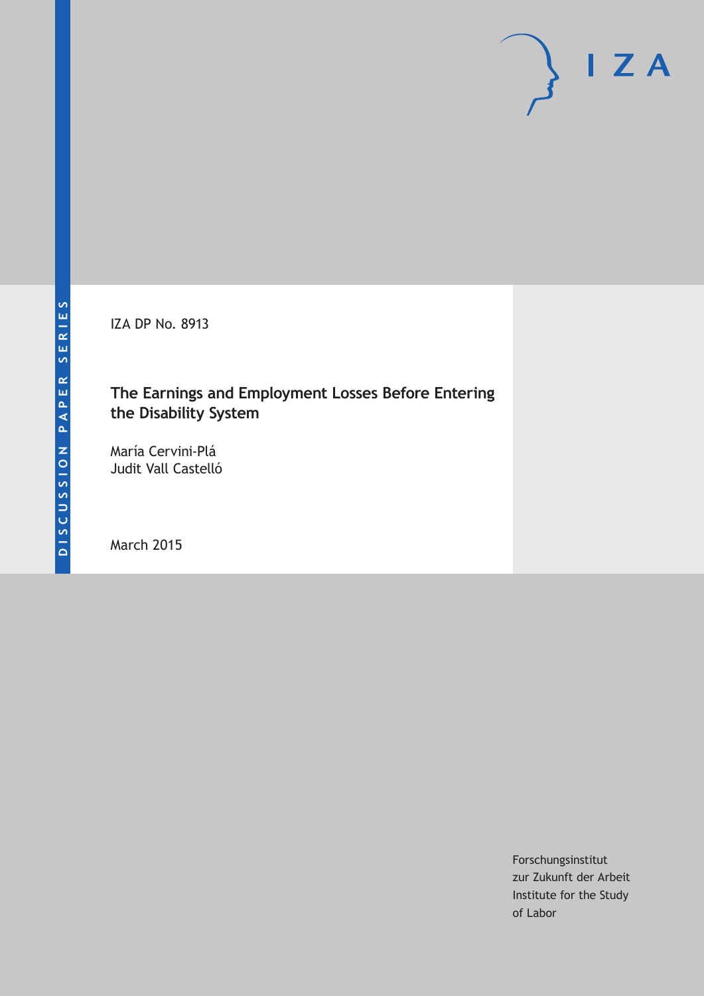IZA DP No. 8913

# **The Earnings and Employment Losses Before Entering the Disability System**

María Cervini-Plá Judit Vall Castelló

March 2015

Forschungsinstitut zur Zukunft der Arbeit Institute for the Study of Labor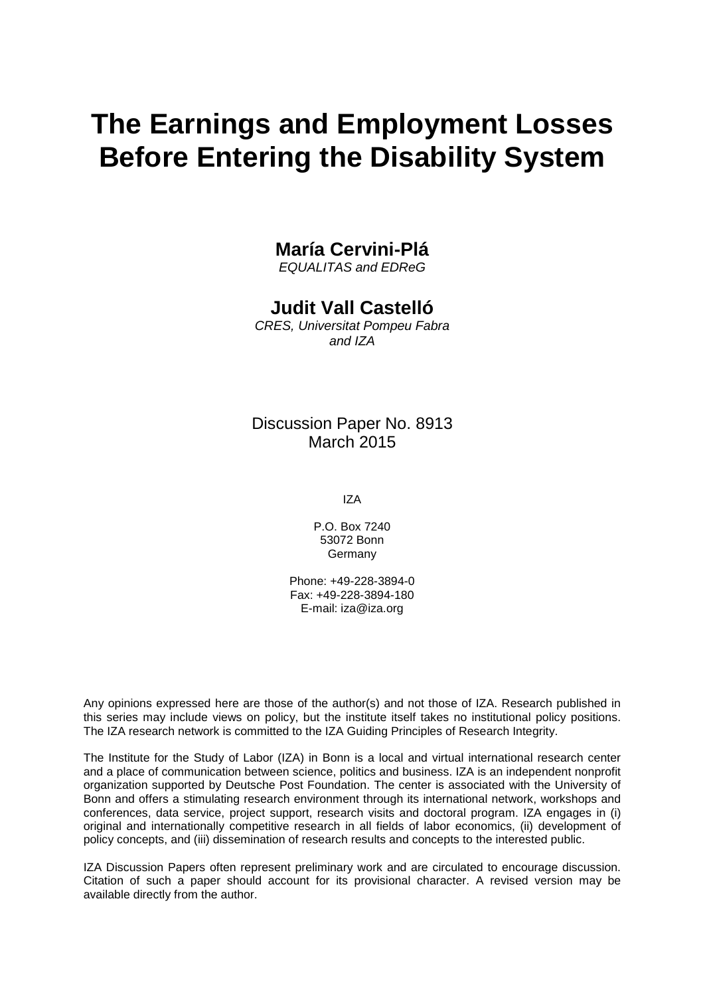# **The Earnings and Employment Losses Before Entering the Disability System**

## **María Cervini-Plá**

*EQUALITAS and EDReG*

# **Judit Vall Castelló**

*CRES, Universitat Pompeu Fabra and IZA*

## Discussion Paper No. 8913 March 2015

IZA

P.O. Box 7240 53072 Bonn Germany

Phone: +49-228-3894-0 Fax: +49-228-3894-180 E-mail: iza@iza.org

Any opinions expressed here are those of the author(s) and not those of IZA. Research published in this series may include views on policy, but the institute itself takes no institutional policy positions. The IZA research network is committed to the IZA Guiding Principles of Research Integrity.

The Institute for the Study of Labor (IZA) in Bonn is a local and virtual international research center and a place of communication between science, politics and business. IZA is an independent nonprofit organization supported by Deutsche Post Foundation. The center is associated with the University of Bonn and offers a stimulating research environment through its international network, workshops and conferences, data service, project support, research visits and doctoral program. IZA engages in (i) original and internationally competitive research in all fields of labor economics, (ii) development of policy concepts, and (iii) dissemination of research results and concepts to the interested public.

IZA Discussion Papers often represent preliminary work and are circulated to encourage discussion. Citation of such a paper should account for its provisional character. A revised version may be available directly from the author.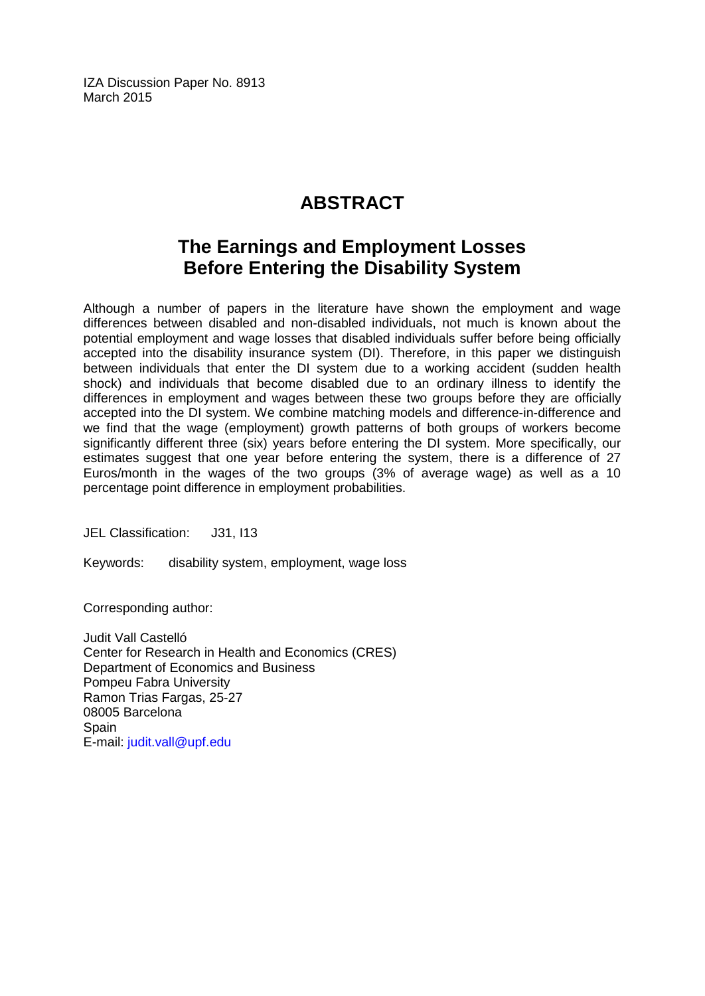IZA Discussion Paper No. 8913 March 2015

# **ABSTRACT**

# **The Earnings and Employment Losses Before Entering the Disability System**

Although a number of papers in the literature have shown the employment and wage differences between disabled and non-disabled individuals, not much is known about the potential employment and wage losses that disabled individuals suffer before being officially accepted into the disability insurance system (DI). Therefore, in this paper we distinguish between individuals that enter the DI system due to a working accident (sudden health shock) and individuals that become disabled due to an ordinary illness to identify the differences in employment and wages between these two groups before they are officially accepted into the DI system. We combine matching models and difference-in-difference and we find that the wage (employment) growth patterns of both groups of workers become significantly different three (six) years before entering the DI system. More specifically, our estimates suggest that one year before entering the system, there is a difference of 27 Euros/month in the wages of the two groups (3% of average wage) as well as a 10 percentage point difference in employment probabilities.

JEL Classification: J31, I13

Keywords: disability system, employment, wage loss

Corresponding author:

Judit Vall Castelló Center for Research in Health and Economics (CRES) Department of Economics and Business Pompeu Fabra University Ramon Trias Fargas, 25-27 08005 Barcelona **Spain** E-mail: [judit.vall@upf.edu](mailto:judit.vall@upf.edu)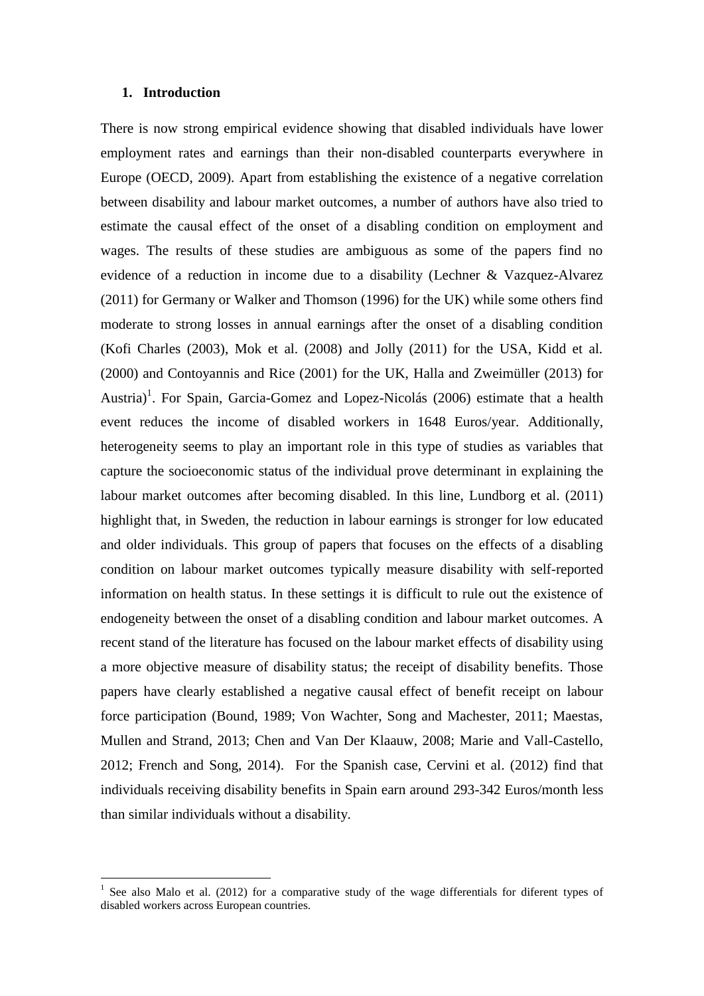#### **1. Introduction**

<u>.</u>

There is now strong empirical evidence showing that disabled individuals have lower employment rates and earnings than their non-disabled counterparts everywhere in Europe (OECD, 2009). Apart from establishing the existence of a negative correlation between disability and labour market outcomes, a number of authors have also tried to estimate the causal effect of the onset of a disabling condition on employment and wages. The results of these studies are ambiguous as some of the papers find no evidence of a reduction in income due to a disability (Lechner & Vazquez-Alvarez (2011) for Germany or Walker and Thomson (1996) for the UK) while some others find moderate to strong losses in annual earnings after the onset of a disabling condition (Kofi Charles (2003), Mok et al. (2008) and Jolly (2011) for the USA, Kidd et al. (2000) and Contoyannis and Rice (2001) for the UK, Halla and Zweimüller (2013) for Austria)<sup>1</sup>. For Spain, Garcia-Gomez and Lopez-Nicolás (2006) estimate that a health event reduces the income of disabled workers in 1648 Euros/year. Additionally, heterogeneity seems to play an important role in this type of studies as variables that capture the socioeconomic status of the individual prove determinant in explaining the labour market outcomes after becoming disabled. In this line, Lundborg et al. (2011) highlight that, in Sweden, the reduction in labour earnings is stronger for low educated and older individuals. This group of papers that focuses on the effects of a disabling condition on labour market outcomes typically measure disability with self-reported information on health status. In these settings it is difficult to rule out the existence of endogeneity between the onset of a disabling condition and labour market outcomes. A recent stand of the literature has focused on the labour market effects of disability using a more objective measure of disability status; the receipt of disability benefits. Those papers have clearly established a negative causal effect of benefit receipt on labour force participation (Bound, 1989; Von Wachter, Song and Machester, 2011; Maestas, Mullen and Strand, 2013; Chen and Van Der Klaauw, 2008; Marie and Vall-Castello, 2012; French and Song, 2014). For the Spanish case, Cervini et al. (2012) find that individuals receiving disability benefits in Spain earn around 293-342 Euros/month less than similar individuals without a disability.

<sup>1</sup> See also Malo et al. (2012) for a comparative study of the wage differentials for diferent types of disabled workers across European countries.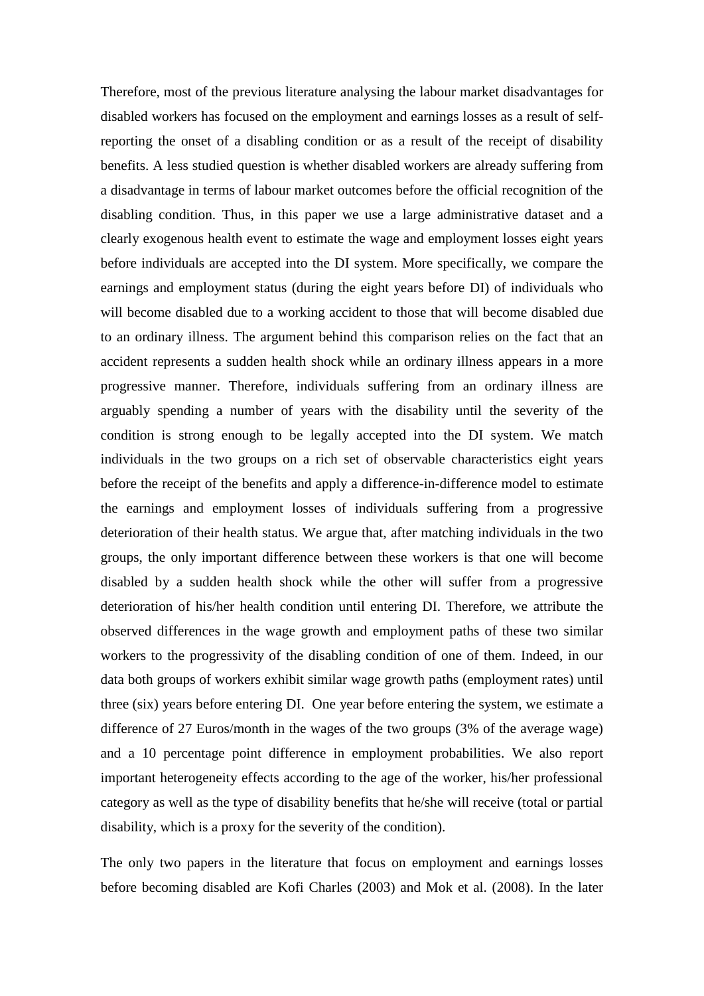Therefore, most of the previous literature analysing the labour market disadvantages for disabled workers has focused on the employment and earnings losses as a result of selfreporting the onset of a disabling condition or as a result of the receipt of disability benefits. A less studied question is whether disabled workers are already suffering from a disadvantage in terms of labour market outcomes before the official recognition of the disabling condition. Thus, in this paper we use a large administrative dataset and a clearly exogenous health event to estimate the wage and employment losses eight years before individuals are accepted into the DI system. More specifically, we compare the earnings and employment status (during the eight years before DI) of individuals who will become disabled due to a working accident to those that will become disabled due to an ordinary illness. The argument behind this comparison relies on the fact that an accident represents a sudden health shock while an ordinary illness appears in a more progressive manner. Therefore, individuals suffering from an ordinary illness are arguably spending a number of years with the disability until the severity of the condition is strong enough to be legally accepted into the DI system. We match individuals in the two groups on a rich set of observable characteristics eight years before the receipt of the benefits and apply a difference-in-difference model to estimate the earnings and employment losses of individuals suffering from a progressive deterioration of their health status. We argue that, after matching individuals in the two groups, the only important difference between these workers is that one will become disabled by a sudden health shock while the other will suffer from a progressive deterioration of his/her health condition until entering DI. Therefore, we attribute the observed differences in the wage growth and employment paths of these two similar workers to the progressivity of the disabling condition of one of them. Indeed, in our data both groups of workers exhibit similar wage growth paths (employment rates) until three (six) years before entering DI. One year before entering the system, we estimate a difference of 27 Euros/month in the wages of the two groups (3% of the average wage) and a 10 percentage point difference in employment probabilities. We also report important heterogeneity effects according to the age of the worker, his/her professional category as well as the type of disability benefits that he/she will receive (total or partial disability, which is a proxy for the severity of the condition).

The only two papers in the literature that focus on employment and earnings losses before becoming disabled are Kofi Charles (2003) and Mok et al. (2008). In the later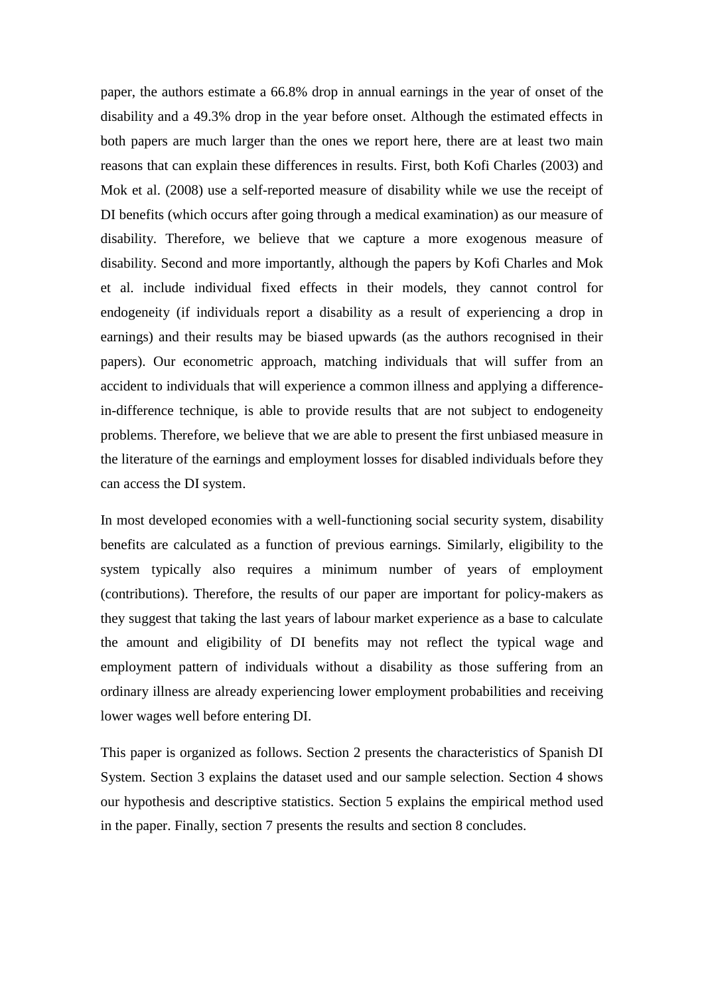paper, the authors estimate a 66.8% drop in annual earnings in the year of onset of the disability and a 49.3% drop in the year before onset. Although the estimated effects in both papers are much larger than the ones we report here, there are at least two main reasons that can explain these differences in results. First, both Kofi Charles (2003) and Mok et al. (2008) use a self-reported measure of disability while we use the receipt of DI benefits (which occurs after going through a medical examination) as our measure of disability. Therefore, we believe that we capture a more exogenous measure of disability. Second and more importantly, although the papers by Kofi Charles and Mok et al. include individual fixed effects in their models, they cannot control for endogeneity (if individuals report a disability as a result of experiencing a drop in earnings) and their results may be biased upwards (as the authors recognised in their papers). Our econometric approach, matching individuals that will suffer from an accident to individuals that will experience a common illness and applying a differencein-difference technique, is able to provide results that are not subject to endogeneity problems. Therefore, we believe that we are able to present the first unbiased measure in the literature of the earnings and employment losses for disabled individuals before they can access the DI system.

In most developed economies with a well-functioning social security system, disability benefits are calculated as a function of previous earnings. Similarly, eligibility to the system typically also requires a minimum number of years of employment (contributions). Therefore, the results of our paper are important for policy-makers as they suggest that taking the last years of labour market experience as a base to calculate the amount and eligibility of DI benefits may not reflect the typical wage and employment pattern of individuals without a disability as those suffering from an ordinary illness are already experiencing lower employment probabilities and receiving lower wages well before entering DI.

This paper is organized as follows. Section 2 presents the characteristics of Spanish DI System. Section 3 explains the dataset used and our sample selection. Section 4 shows our hypothesis and descriptive statistics. Section 5 explains the empirical method used in the paper. Finally, section 7 presents the results and section 8 concludes.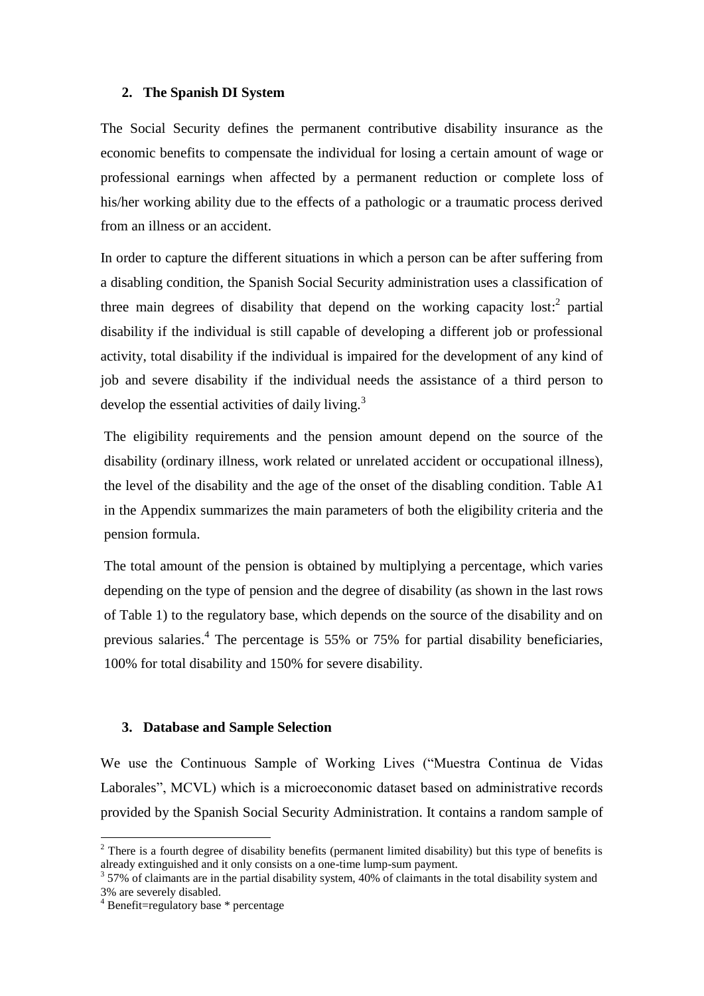#### **2. The Spanish DI System**

The Social Security defines the permanent contributive disability insurance as the economic benefits to compensate the individual for losing a certain amount of wage or professional earnings when affected by a permanent reduction or complete loss of his/her working ability due to the effects of a pathologic or a traumatic process derived from an illness or an accident.

In order to capture the different situations in which a person can be after suffering from a disabling condition, the Spanish Social Security administration uses a classification of three main degrees of disability that depend on the working capacity lost: $2$  partial disability if the individual is still capable of developing a different job or professional activity, total disability if the individual is impaired for the development of any kind of job and severe disability if the individual needs the assistance of a third person to develop the essential activities of daily living.<sup>3</sup>

The eligibility requirements and the pension amount depend on the source of the disability (ordinary illness, work related or unrelated accident or occupational illness), the level of the disability and the age of the onset of the disabling condition. Table A1 in the Appendix summarizes the main parameters of both the eligibility criteria and the pension formula.

The total amount of the pension is obtained by multiplying a percentage, which varies depending on the type of pension and the degree of disability (as shown in the last rows of Table 1) to the regulatory base, which depends on the source of the disability and on previous salaries.<sup>4</sup> The percentage is 55% or 75% for partial disability beneficiaries, 100% for total disability and 150% for severe disability.

#### **3. Database and Sample Selection**

We use the Continuous Sample of Working Lives ("Muestra Continua de Vidas Laborales", MCVL) which is a microeconomic dataset based on administrative records provided by the Spanish Social Security Administration. It contains a random sample of

<u>.</u>

 $2$  There is a fourth degree of disability benefits (permanent limited disability) but this type of benefits is already extinguished and it only consists on a one-time lump-sum payment.

 $357\%$  of claimants are in the partial disability system, 40% of claimants in the total disability system and 3% are severely disabled.

<sup>4</sup> Benefit=regulatory base \* percentage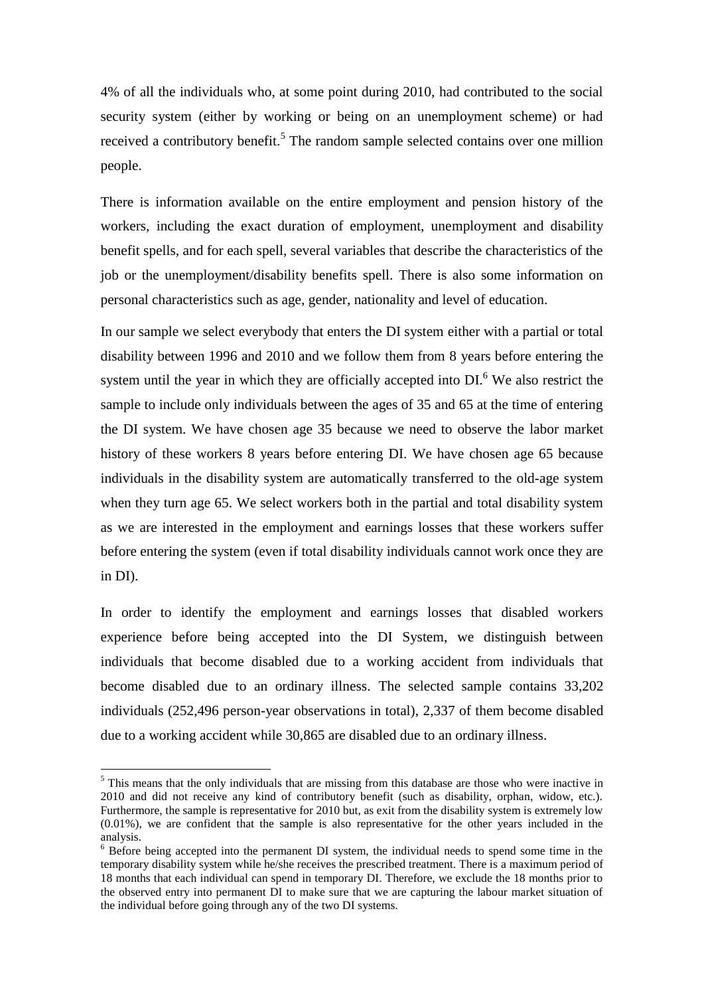4% of all the individuals who, at some point during 2010, had contributed to the social security system (either by working or being on an unemployment scheme) or had received a contributory benefit.<sup>5</sup> The random sample selected contains over one million people.

There is information available on the entire employment and pension history of the workers, including the exact duration of employment, unemployment and disability benefit spells, and for each spell, several variables that describe the characteristics of the job or the unemployment/disability benefits spell. There is also some information on personal characteristics such as age, gender, nationality and level of education.

In our sample we select everybody that enters the DI system either with a partial or total disability between 1996 and 2010 and we follow them from 8 years before entering the system until the year in which they are officially accepted into DI.<sup>6</sup> We also restrict the sample to include only individuals between the ages of 35 and 65 at the time of entering the DI system. We have chosen age 35 because we need to observe the labor market history of these workers 8 years before entering DI. We have chosen age 65 because individuals in the disability system are automatically transferred to the old-age system when they turn age 65. We select workers both in the partial and total disability system as we are interested in the employment and earnings losses that these workers suffer before entering the system (even if total disability individuals cannot work once they are in DI).

In order to identify the employment and earnings losses that disabled workers experience before being accepted into the DI System, we distinguish between individuals that become disabled due to a working accident from individuals that become disabled due to an ordinary illness. The selected sample contains 33,202 individuals (252,496 person-year observations in total), 2,337 of them become disabled due to a working accident while 30,865 are disabled due to an ordinary illness.

1

<sup>&</sup>lt;sup>5</sup> This means that the only individuals that are missing from this database are those who were inactive in 2010 and did not receive any kind of contributory benefit (such as disability, orphan, widow, etc.). Furthermore, the sample is representative for 2010 but, as exit from the disability system is extremely low (0.01%), we are confident that the sample is also representative for the other years included in the analysis.

<sup>&</sup>lt;sup>6</sup> Before being accepted into the permanent DI system, the individual needs to spend some time in the temporary disability system while he/she receives the prescribed treatment. There is a maximum period of 18 months that each individual can spend in temporary DI. Therefore, we exclude the 18 months prior to the observed entry into permanent DI to make sure that we are capturing the labour market situation of the individual before going through any of the two DI systems.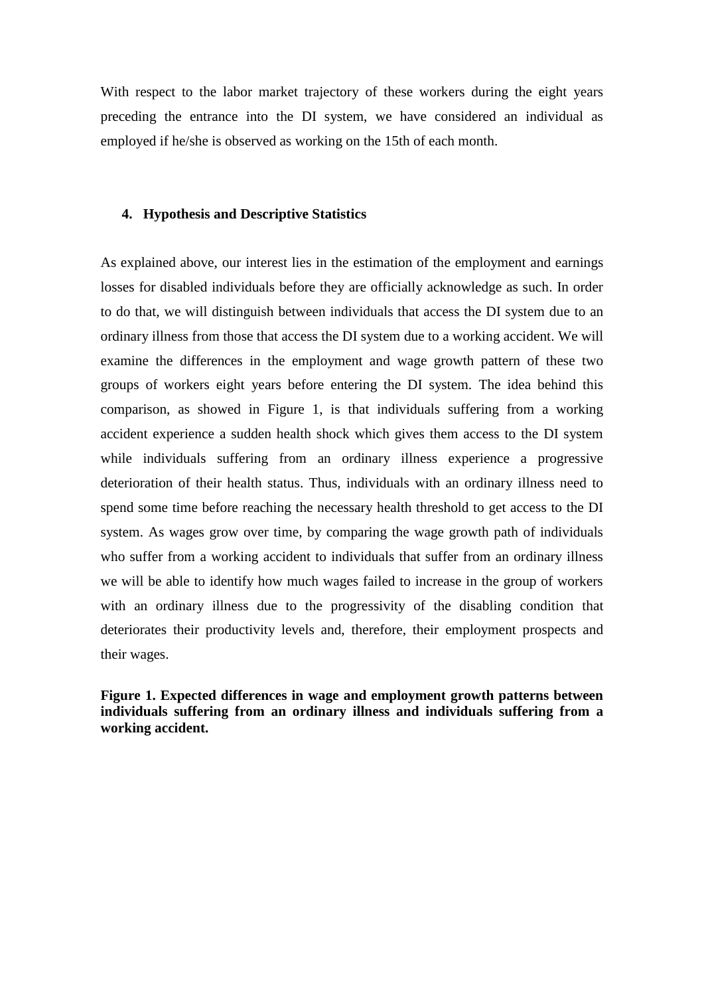With respect to the labor market trajectory of these workers during the eight years preceding the entrance into the DI system, we have considered an individual as employed if he/she is observed as working on the 15th of each month.

#### **4. Hypothesis and Descriptive Statistics**

As explained above, our interest lies in the estimation of the employment and earnings losses for disabled individuals before they are officially acknowledge as such. In order to do that, we will distinguish between individuals that access the DI system due to an ordinary illness from those that access the DI system due to a working accident. We will examine the differences in the employment and wage growth pattern of these two groups of workers eight years before entering the DI system. The idea behind this comparison, as showed in Figure 1, is that individuals suffering from a working accident experience a sudden health shock which gives them access to the DI system while individuals suffering from an ordinary illness experience a progressive deterioration of their health status. Thus, individuals with an ordinary illness need to spend some time before reaching the necessary health threshold to get access to the DI system. As wages grow over time, by comparing the wage growth path of individuals who suffer from a working accident to individuals that suffer from an ordinary illness we will be able to identify how much wages failed to increase in the group of workers with an ordinary illness due to the progressivity of the disabling condition that deteriorates their productivity levels and, therefore, their employment prospects and their wages.

**Figure 1. Expected differences in wage and employment growth patterns between individuals suffering from an ordinary illness and individuals suffering from a working accident.**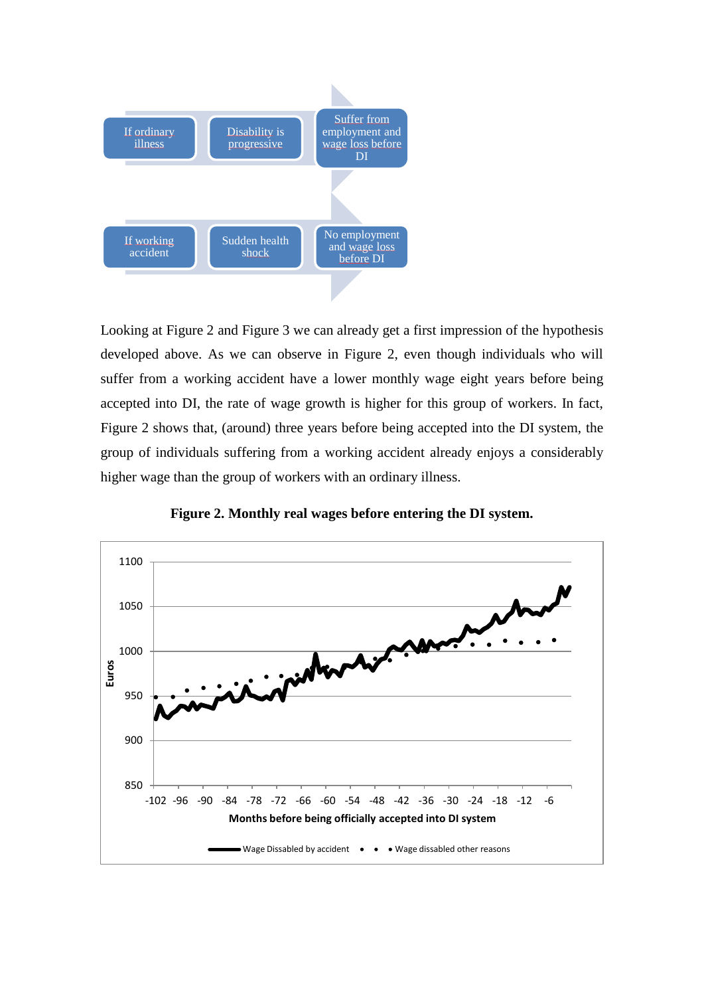

Looking at Figure 2 and Figure 3 we can already get a first impression of the hypothesis developed above. As we can observe in Figure 2, even though individuals who will suffer from a working accident have a lower monthly wage eight years before being accepted into DI, the rate of wage growth is higher for this group of workers. In fact, Figure 2 shows that, (around) three years before being accepted into the DI system, the group of individuals suffering from a working accident already enjoys a considerably higher wage than the group of workers with an ordinary illness.



**Figure 2. Monthly real wages before entering the DI system.**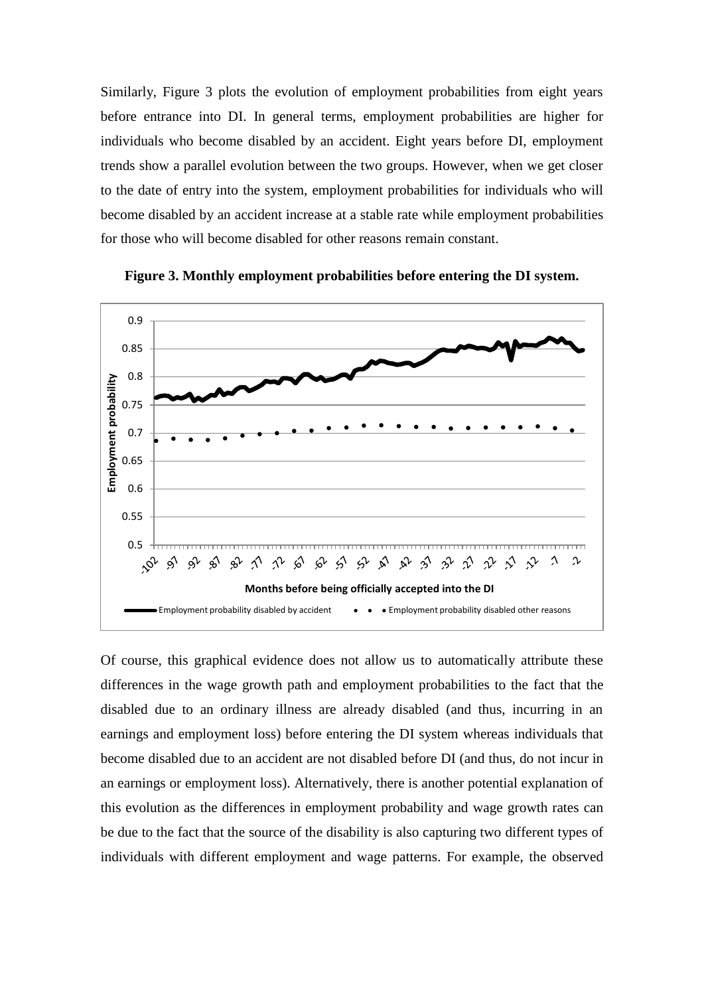Similarly, Figure 3 plots the evolution of employment probabilities from eight years before entrance into DI. In general terms, employment probabilities are higher for individuals who become disabled by an accident. Eight years before DI, employment trends show a parallel evolution between the two groups. However, when we get closer to the date of entry into the system, employment probabilities for individuals who will become disabled by an accident increase at a stable rate while employment probabilities for those who will become disabled for other reasons remain constant.



**Figure 3. Monthly employment probabilities before entering the DI system.**

Of course, this graphical evidence does not allow us to automatically attribute these differences in the wage growth path and employment probabilities to the fact that the disabled due to an ordinary illness are already disabled (and thus, incurring in an earnings and employment loss) before entering the DI system whereas individuals that become disabled due to an accident are not disabled before DI (and thus, do not incur in an earnings or employment loss). Alternatively, there is another potential explanation of this evolution as the differences in employment probability and wage growth rates can be due to the fact that the source of the disability is also capturing two different types of individuals with different employment and wage patterns. For example, the observed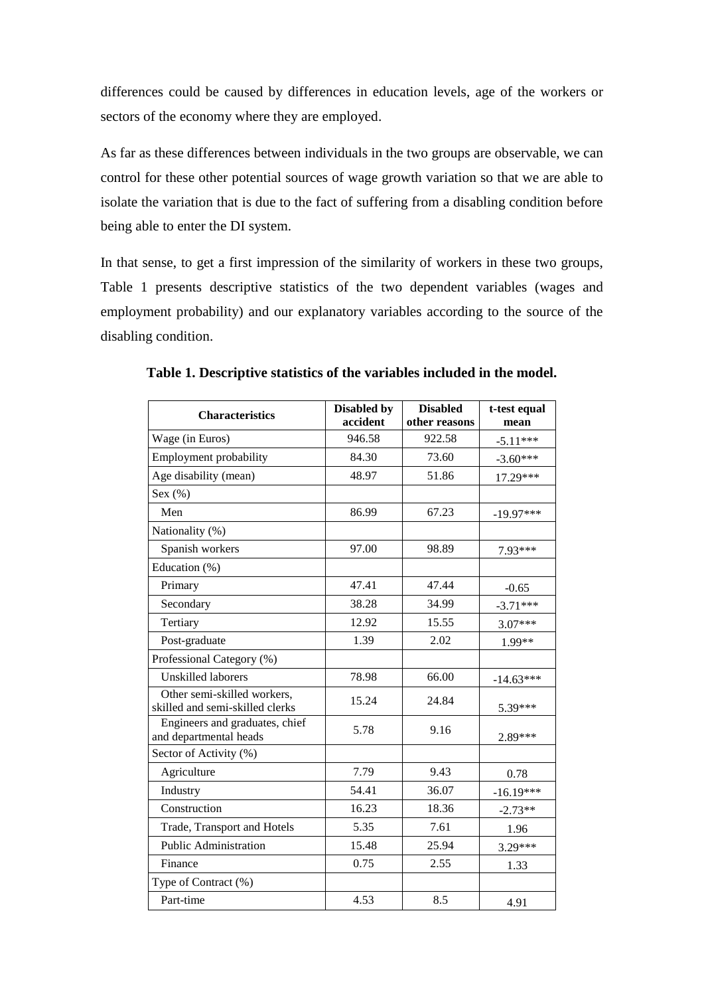differences could be caused by differences in education levels, age of the workers or sectors of the economy where they are employed.

As far as these differences between individuals in the two groups are observable, we can control for these other potential sources of wage growth variation so that we are able to isolate the variation that is due to the fact of suffering from a disabling condition before being able to enter the DI system.

In that sense, to get a first impression of the similarity of workers in these two groups, Table 1 presents descriptive statistics of the two dependent variables (wages and employment probability) and our explanatory variables according to the source of the disabling condition.

| <b>Characteristics</b>                                         | <b>Disabled by</b> | <b>Disabled</b> | t-test equal |
|----------------------------------------------------------------|--------------------|-----------------|--------------|
|                                                                | accident           | other reasons   | mean         |
| Wage (in Euros)                                                | 946.58             | 922.58          | $-5.11***$   |
| <b>Employment probability</b>                                  | 84.30              | 73.60           | $-3.60***$   |
| Age disability (mean)                                          | 48.97              | 51.86           | 17.29***     |
| Sex $(\% )$                                                    |                    |                 |              |
| Men                                                            | 86.99              | 67.23           | $-19.97***$  |
| Nationality (%)                                                |                    |                 |              |
| Spanish workers                                                | 97.00              | 98.89           | 7.93***      |
| Education (%)                                                  |                    |                 |              |
| Primary                                                        | 47.41              | 47.44           | $-0.65$      |
| Secondary                                                      | 38.28              | 34.99           | $-3.71***$   |
| Tertiary                                                       | 12.92              | 15.55           | 3.07***      |
| Post-graduate                                                  | 1.39               | 2.02            | 1.99**       |
| Professional Category (%)                                      |                    |                 |              |
| <b>Unskilled laborers</b>                                      | 78.98              | 66.00           | $-14.63***$  |
| Other semi-skilled workers,<br>skilled and semi-skilled clerks | 15.24              | 24.84           | 5.39***      |
| Engineers and graduates, chief<br>and departmental heads       | 5.78               | 9.16            | 2.89***      |
| Sector of Activity (%)                                         |                    |                 |              |
| Agriculture                                                    | 7.79               | 9.43            | 0.78         |
| Industry                                                       | 54.41              | 36.07           | $-16.19***$  |
| Construction                                                   | 16.23              | 18.36           | $-2.73**$    |
| Trade, Transport and Hotels                                    | 5.35               | 7.61            | 1.96         |
| <b>Public Administration</b>                                   | 15.48              | 25.94           | 3.29***      |
| Finance                                                        | 0.75               | 2.55            | 1.33         |
| Type of Contract (%)                                           |                    |                 |              |
| Part-time                                                      | 4.53               | 8.5             | 4.91         |

**Table 1. Descriptive statistics of the variables included in the model.**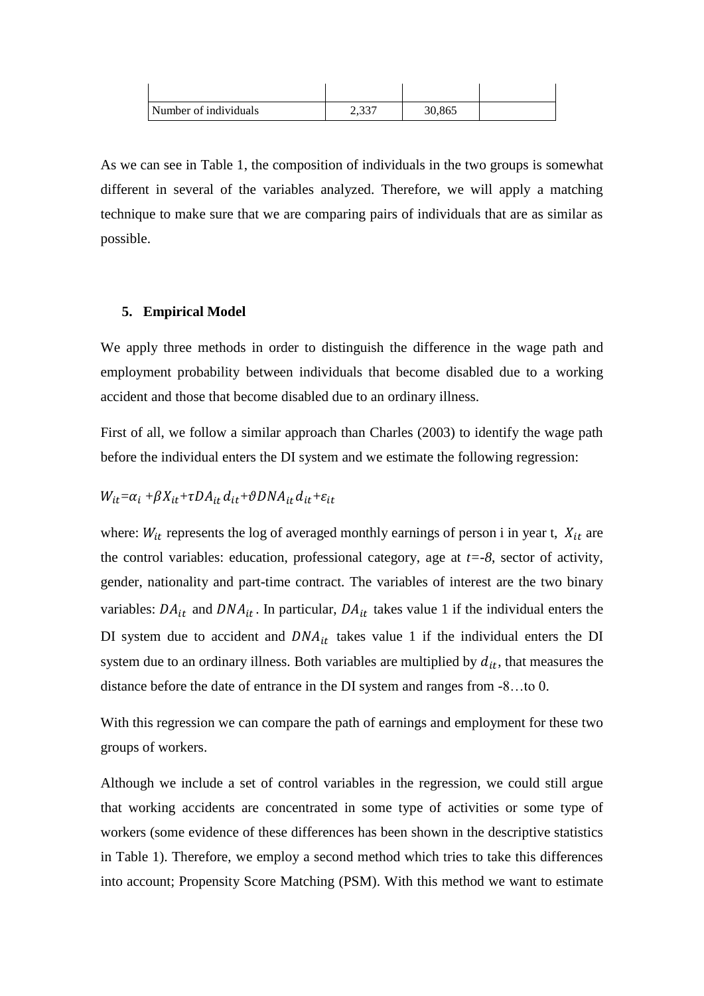| Number of individuals | า ววา<br>ا د د ک | 30,865 |  |
|-----------------------|------------------|--------|--|

As we can see in Table 1, the composition of individuals in the two groups is somewhat different in several of the variables analyzed. Therefore, we will apply a matching technique to make sure that we are comparing pairs of individuals that are as similar as possible.

#### **5. Empirical Model**

We apply three methods in order to distinguish the difference in the wage path and employment probability between individuals that become disabled due to a working accident and those that become disabled due to an ordinary illness.

First of all, we follow a similar approach than Charles (2003) to identify the wage path before the individual enters the DI system and we estimate the following regression:

#### $W_{it} = \alpha_i + \beta X_{it} + \tau D A_{it} d_{it} + \vartheta D N A_{it} d_{it} + \varepsilon_{it}$

where:  $W_{it}$  represents the log of averaged monthly earnings of person i in year t,  $X_{it}$  are the control variables: education, professional category, age at  $t = -8$ , sector of activity, gender, nationality and part-time contract. The variables of interest are the two binary variables:  $DA_{it}$  and  $DNA_{it}$ . In particular,  $DA_{it}$  takes value 1 if the individual enters the DI system due to accident and  $DNA_{it}$  takes value 1 if the individual enters the DI system due to an ordinary illness. Both variables are multiplied by  $d_{it}$ , that measures the distance before the date of entrance in the DI system and ranges from -8…to 0.

With this regression we can compare the path of earnings and employment for these two groups of workers.

Although we include a set of control variables in the regression, we could still argue that working accidents are concentrated in some type of activities or some type of workers (some evidence of these differences has been shown in the descriptive statistics in Table 1). Therefore, we employ a second method which tries to take this differences into account; Propensity Score Matching (PSM). With this method we want to estimate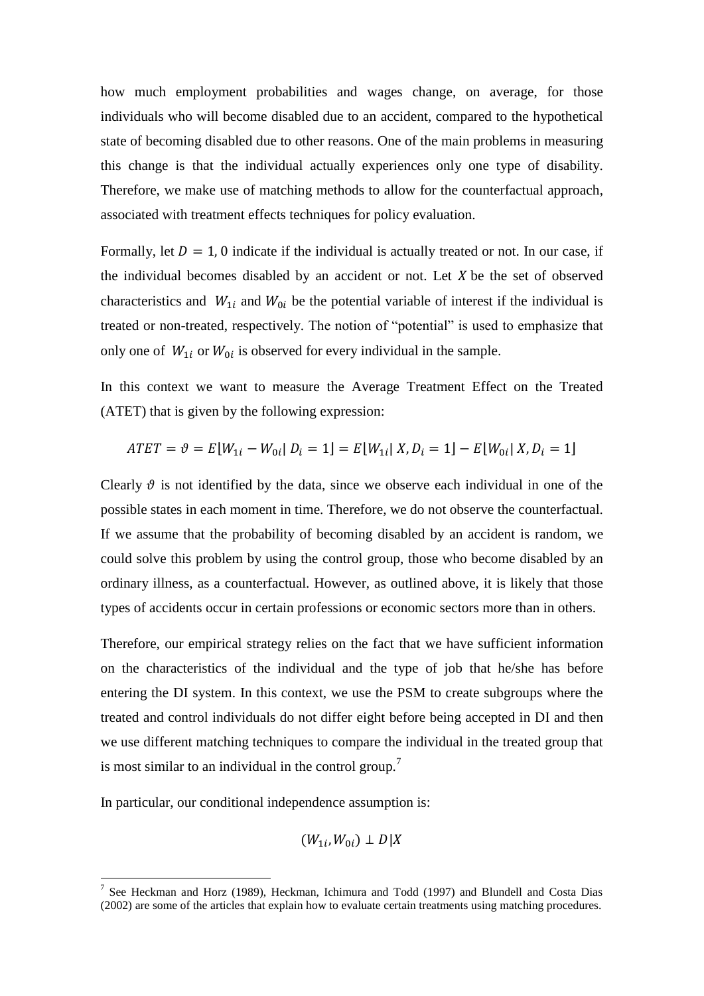how much employment probabilities and wages change, on average, for those individuals who will become disabled due to an accident, compared to the hypothetical state of becoming disabled due to other reasons. One of the main problems in measuring this change is that the individual actually experiences only one type of disability. Therefore, we make use of matching methods to allow for the counterfactual approach, associated with treatment effects techniques for policy evaluation.

Formally, let  $D = 1$ , 0 indicate if the individual is actually treated or not. In our case, if the individual becomes disabled by an accident or not. Let  $X$  be the set of observed characteristics and  $W_{1i}$  and  $W_{0i}$  be the potential variable of interest if the individual is treated or non-treated, respectively. The notion of "potential" is used to emphasize that only one of  $W_{1i}$  or  $W_{0i}$  is observed for every individual in the sample.

In this context we want to measure the Average Treatment Effect on the Treated (ATET) that is given by the following expression:

$$
ATET = \vartheta = E[W_{1i} - W_{0i} | D_i = 1] = E[W_{1i} | X, D_i = 1] - E[W_{0i} | X, D_i = 1]
$$

Clearly  $\vartheta$  is not identified by the data, since we observe each individual in one of the possible states in each moment in time. Therefore, we do not observe the counterfactual. If we assume that the probability of becoming disabled by an accident is random, we could solve this problem by using the control group, those who become disabled by an ordinary illness, as a counterfactual. However, as outlined above, it is likely that those types of accidents occur in certain professions or economic sectors more than in others.

Therefore, our empirical strategy relies on the fact that we have sufficient information on the characteristics of the individual and the type of job that he/she has before entering the DI system. In this context, we use the PSM to create subgroups where the treated and control individuals do not differ eight before being accepted in DI and then we use different matching techniques to compare the individual in the treated group that is most similar to an individual in the control group.<sup>7</sup>

In particular, our conditional independence assumption is:

<u>.</u>

$$
(W_{1i}, W_{0i}) \perp D|X
$$

<sup>7</sup> See Heckman and Horz (1989), Heckman, Ichimura and Todd (1997) and Blundell and Costa Dias (2002) are some of the articles that explain how to evaluate certain treatments using matching procedures.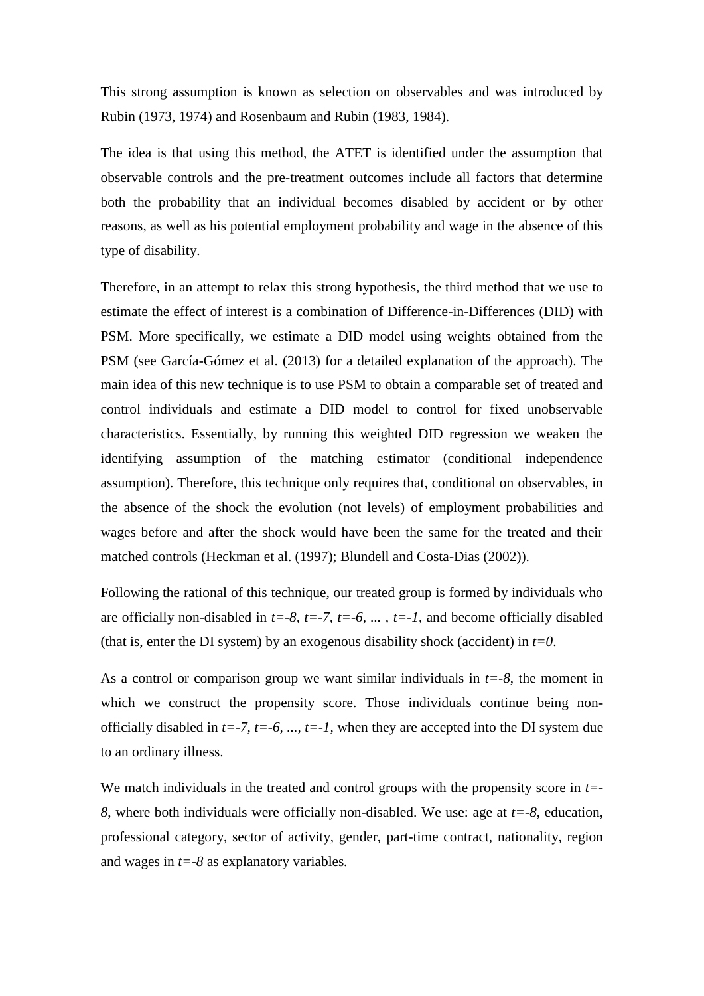This strong assumption is known as selection on observables and was introduced by Rubin (1973, 1974) and Rosenbaum and Rubin (1983, 1984).

The idea is that using this method, the ATET is identified under the assumption that observable controls and the pre-treatment outcomes include all factors that determine both the probability that an individual becomes disabled by accident or by other reasons, as well as his potential employment probability and wage in the absence of this type of disability.

Therefore, in an attempt to relax this strong hypothesis, the third method that we use to estimate the effect of interest is a combination of Difference-in-Differences (DID) with PSM. More specifically, we estimate a DID model using weights obtained from the PSM (see García-Gómez et al. (2013) for a detailed explanation of the approach). The main idea of this new technique is to use PSM to obtain a comparable set of treated and control individuals and estimate a DID model to control for fixed unobservable characteristics. Essentially, by running this weighted DID regression we weaken the identifying assumption of the matching estimator (conditional independence assumption). Therefore, this technique only requires that, conditional on observables, in the absence of the shock the evolution (not levels) of employment probabilities and wages before and after the shock would have been the same for the treated and their matched controls (Heckman et al. (1997); Blundell and Costa-Dias (2002)).

Following the rational of this technique, our treated group is formed by individuals who are officially non-disabled in  $t=-8$ ,  $t=-7$ ,  $t=-6$ , ...,  $t=-1$ , and become officially disabled (that is, enter the DI system) by an exogenous disability shock (accident) in  $t=0$ .

As a control or comparison group we want similar individuals in  $t = -8$ , the moment in which we construct the propensity score. Those individuals continue being nonofficially disabled in  $t=-7$ ,  $t=-6$ , ...,  $t=-1$ , when they are accepted into the DI system due to an ordinary illness.

We match individuals in the treated and control groups with the propensity score in *t=- 8*, where both individuals were officially non-disabled. We use: age at *t=-8*, education, professional category, sector of activity, gender, part-time contract, nationality, region and wages in *t=-8* as explanatory variables*.*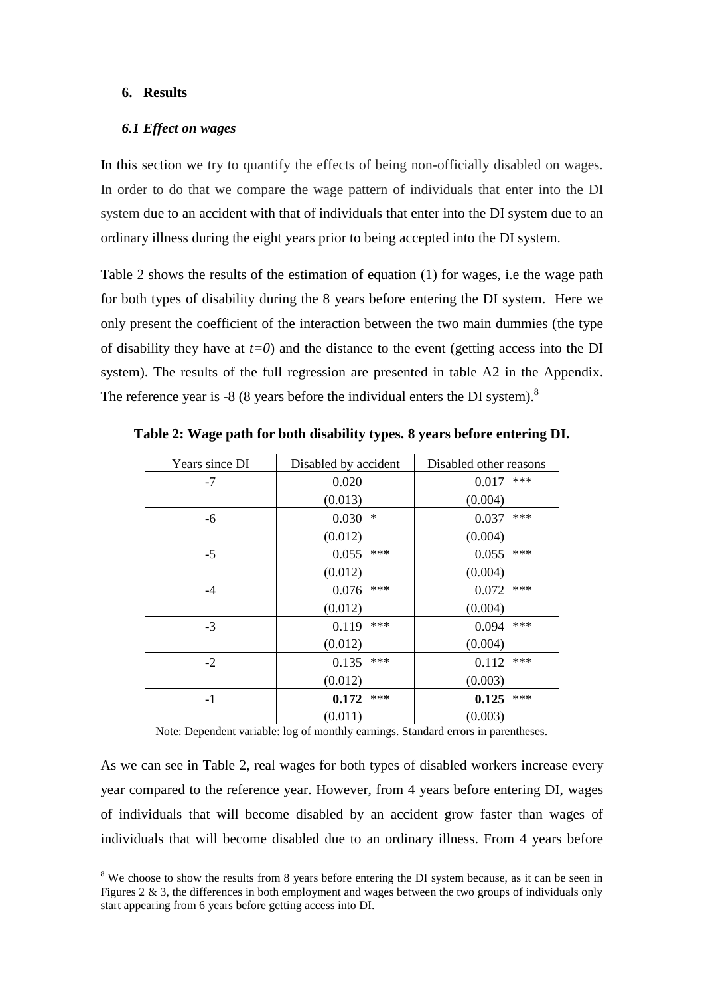#### **6. Results**

1

#### *6.1 Effect on wages*

In this section we try to quantify the effects of being non-officially disabled on wages. In order to do that we compare the wage pattern of individuals that enter into the DI system due to an accident with that of individuals that enter into the DI system due to an ordinary illness during the eight years prior to being accepted into the DI system.

Table 2 shows the results of the estimation of equation (1) for wages, i.e the wage path for both types of disability during the 8 years before entering the DI system. Here we only present the coefficient of the interaction between the two main dummies (the type of disability they have at  $t=0$ ) and the distance to the event (getting access into the DI system). The results of the full regression are presented in table A2 in the Appendix. The reference year is -8 (8 years before the individual enters the DI system).<sup>8</sup>

| Years since DI | Disabled by accident | Disabled other reasons |
|----------------|----------------------|------------------------|
| $-7$           | 0.020                | ***<br>0.017           |
|                | (0.013)              | (0.004)                |
| $-6$           | 0.030<br>$\ast$      | ***<br>0.037           |
|                | (0.012)              | (0.004)                |
| $-5$           | ***<br>0.055         | ***<br>0.055           |
|                | (0.012)              | (0.004)                |
| $-4$           | ***<br>0.076         | ***<br>0.072           |
|                | (0.012)              | (0.004)                |
| $-3$           | ***<br>0.119         | ***<br>0.094           |
|                | (0.012)              | (0.004)                |
| $-2$           | ***<br>0.135         | ***<br>0.112           |
|                | (0.012)              | (0.003)                |
| $-1$           | ***<br>0.172         | ***<br>0.125           |
|                | (0.011)              | (0.003)                |

**Table 2: Wage path for both disability types. 8 years before entering DI.**

Note: Dependent variable: log of monthly earnings. Standard errors in parentheses.

As we can see in Table 2, real wages for both types of disabled workers increase every year compared to the reference year. However, from 4 years before entering DI, wages of individuals that will become disabled by an accident grow faster than wages of individuals that will become disabled due to an ordinary illness. From 4 years before

<sup>&</sup>lt;sup>8</sup> We choose to show the results from 8 years before entering the DI system because, as it can be seen in Figures 2 & 3, the differences in both employment and wages between the two groups of individuals only start appearing from 6 years before getting access into DI.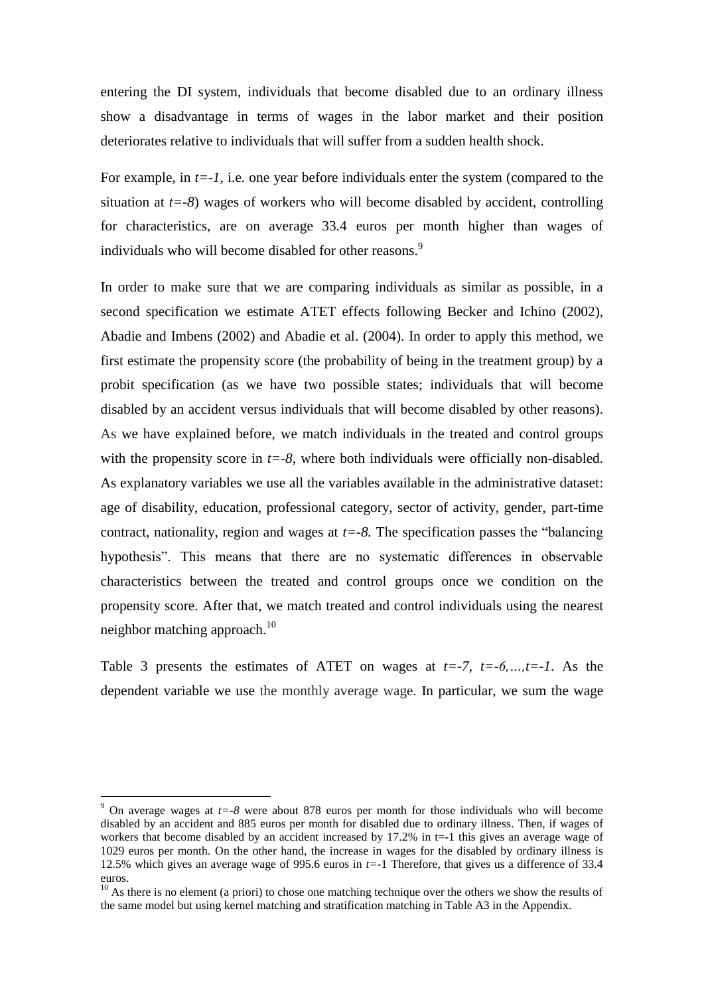entering the DI system, individuals that become disabled due to an ordinary illness show a disadvantage in terms of wages in the labor market and their position deteriorates relative to individuals that will suffer from a sudden health shock.

For example, in  $t = -1$ , i.e. one year before individuals enter the system (compared to the situation at *t=-8*) wages of workers who will become disabled by accident, controlling for characteristics, are on average 33.4 euros per month higher than wages of individuals who will become disabled for other reasons.<sup>9</sup>

In order to make sure that we are comparing individuals as similar as possible, in a second specification we estimate ATET effects following Becker and Ichino (2002), Abadie and Imbens (2002) and Abadie et al. (2004). In order to apply this method, we first estimate the propensity score (the probability of being in the treatment group) by a probit specification (as we have two possible states; individuals that will become disabled by an accident versus individuals that will become disabled by other reasons). As we have explained before, we match individuals in the treated and control groups with the propensity score in  $t = -8$ , where both individuals were officially non-disabled. As explanatory variables we use all the variables available in the administrative dataset: age of disability, education, professional category, sector of activity, gender, part-time contract, nationality, region and wages at  $t = -8$ . The specification passes the "balancing" hypothesis". This means that there are no systematic differences in observable characteristics between the treated and control groups once we condition on the propensity score. After that, we match treated and control individuals using the nearest neighbor matching approach.<sup>10</sup>

Table 3 presents the estimates of ATET on wages at  $t=-7$ ,  $t=-6$ ,  $t=-1$ . As the dependent variable we use the monthly average wage. In particular, we sum the wage

<u>.</u>

<sup>9</sup> On average wages at *t=-8* were about 878 euros per month for those individuals who will become disabled by an accident and 885 euros per month for disabled due to ordinary illness. Then, if wages of workers that become disabled by an accident increased by 17.2% in t=-1 this gives an average wage of 1029 euros per month. On the other hand, the increase in wages for the disabled by ordinary illness is 12.5% which gives an average wage of 995.6 euros in *t=-*1 Therefore, that gives us a difference of 33.4 euros.

 $10$  As there is no element (a priori) to chose one matching technique over the others we show the results of the same model but using kernel matching and stratification matching in Table A3 in the Appendix.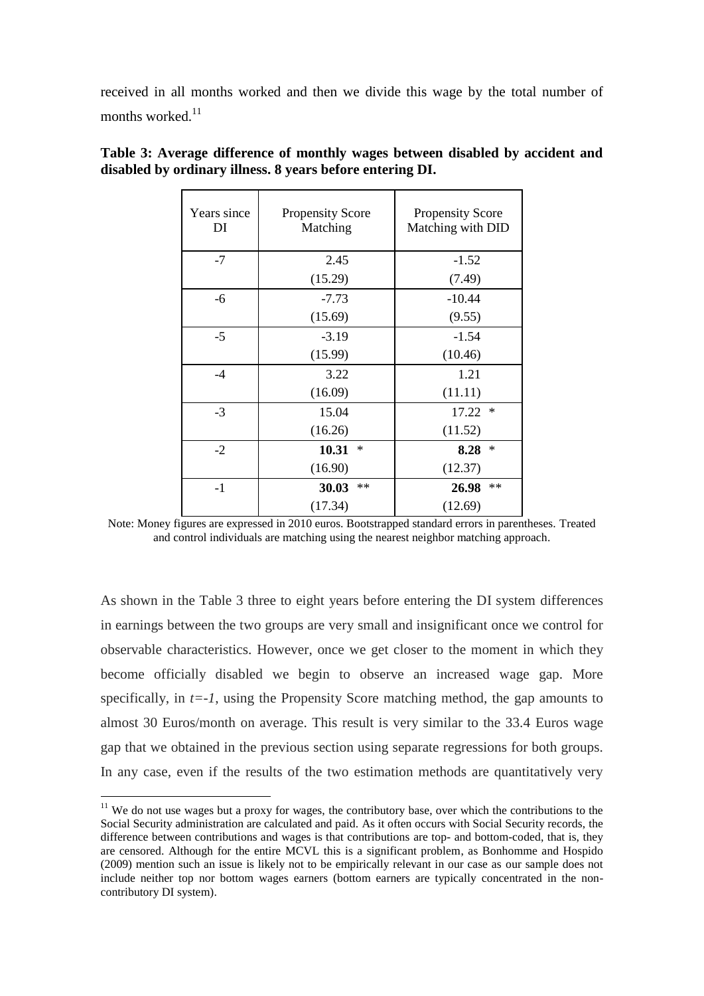received in all months worked and then we divide this wage by the total number of months worked.<sup>11</sup>

| Years since<br>DI | <b>Propensity Score</b><br>Matching | <b>Propensity Score</b><br>Matching with DID |  |
|-------------------|-------------------------------------|----------------------------------------------|--|
| $-7$              | 2.45                                | $-1.52$                                      |  |
|                   | (15.29)                             | (7.49)                                       |  |
| -6                | $-7.73$                             | $-10.44$                                     |  |
|                   | (15.69)                             | (9.55)                                       |  |
| $-5$              | $-3.19$                             | $-1.54$                                      |  |
|                   | (15.99)                             | (10.46)                                      |  |
| $-4$              | 3.22                                | 1.21                                         |  |
|                   | (16.09)                             | (11.11)                                      |  |
| $-3$              | 15.04                               | 17.22<br>∗                                   |  |
|                   | (16.26)                             | (11.52)                                      |  |
| $-2$              | 10.31<br>∗                          | ∗<br>8.28                                    |  |
|                   | (16.90)                             | (12.37)                                      |  |
| $-1$              | **<br>30.03                         | **<br>26.98                                  |  |
|                   | (17.34)                             | (12.69)                                      |  |

**Table 3: Average difference of monthly wages between disabled by accident and disabled by ordinary illness. 8 years before entering DI.**

As shown in the Table 3 three to eight years before entering the DI system differences in earnings between the two groups are very small and insignificant once we control for observable characteristics. However, once we get closer to the moment in which they become officially disabled we begin to observe an increased wage gap. More specifically, in  $t=-1$ , using the Propensity Score matching method, the gap amounts to almost 30 Euros/month on average. This result is very similar to the 33.4 Euros wage gap that we obtained in the previous section using separate regressions for both groups. In any case, even if the results of the two estimation methods are quantitatively very

<u>.</u>

Note: Money figures are expressed in 2010 euros. Bootstrapped standard errors in parentheses. Treated and control individuals are matching using the nearest neighbor matching approach.

 $11$  We do not use wages but a proxy for wages, the contributory base, over which the contributions to the Social Security administration are calculated and paid. As it often occurs with Social Security records, the difference between contributions and wages is that contributions are top- and bottom-coded, that is, they are censored. Although for the entire MCVL this is a significant problem, as Bonhomme and Hospido (2009) mention such an issue is likely not to be empirically relevant in our case as our sample does not include neither top nor bottom wages earners (bottom earners are typically concentrated in the noncontributory DI system).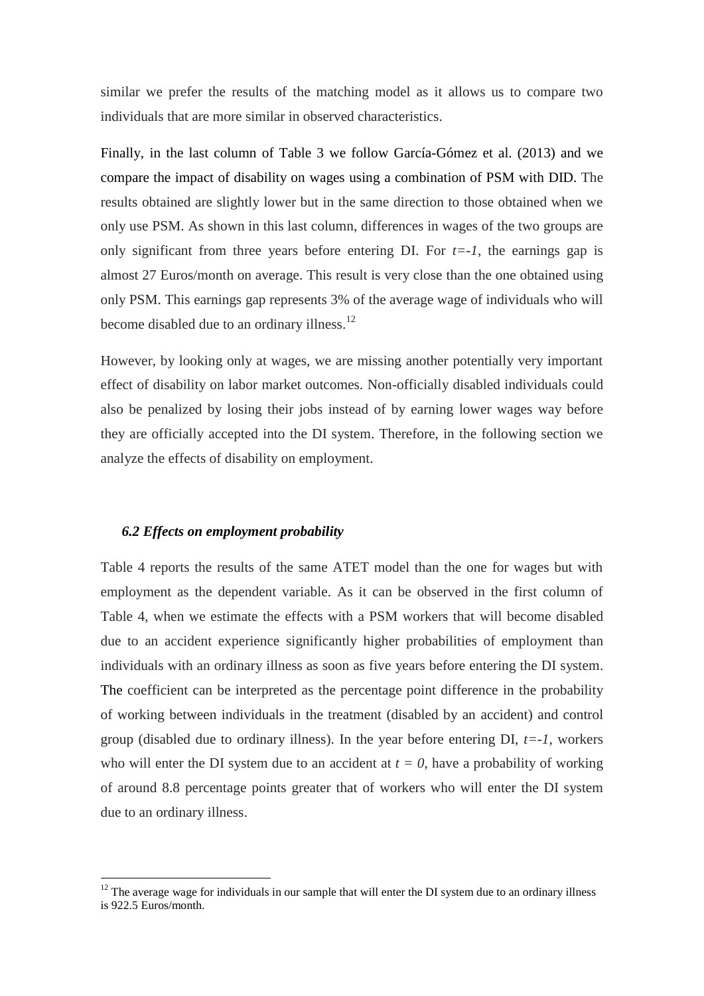similar we prefer the results of the matching model as it allows us to compare two individuals that are more similar in observed characteristics.

Finally, in the last column of Table 3 we follow García-Gómez et al. (2013) and we compare the impact of disability on wages using a combination of PSM with DID. The results obtained are slightly lower but in the same direction to those obtained when we only use PSM. As shown in this last column, differences in wages of the two groups are only significant from three years before entering DI. For  $t=-1$ , the earnings gap is almost 27 Euros/month on average. This result is very close than the one obtained using only PSM. This earnings gap represents 3% of the average wage of individuals who will become disabled due to an ordinary illness.<sup>12</sup>

However, by looking only at wages, we are missing another potentially very important effect of disability on labor market outcomes. Non-officially disabled individuals could also be penalized by losing their jobs instead of by earning lower wages way before they are officially accepted into the DI system. Therefore, in the following section we analyze the effects of disability on employment.

#### *6.2 Effects on employment probability*

<u>.</u>

Table 4 reports the results of the same ATET model than the one for wages but with employment as the dependent variable. As it can be observed in the first column of Table 4, when we estimate the effects with a PSM workers that will become disabled due to an accident experience significantly higher probabilities of employment than individuals with an ordinary illness as soon as five years before entering the DI system. The coefficient can be interpreted as the percentage point difference in the probability of working between individuals in the treatment (disabled by an accident) and control group (disabled due to ordinary illness). In the year before entering  $DI$ ,  $t=-1$ , workers who will enter the DI system due to an accident at  $t = 0$ , have a probability of working of around 8.8 percentage points greater that of workers who will enter the DI system due to an ordinary illness.

 $12$  The average wage for individuals in our sample that will enter the DI system due to an ordinary illness is 922.5 Euros/month.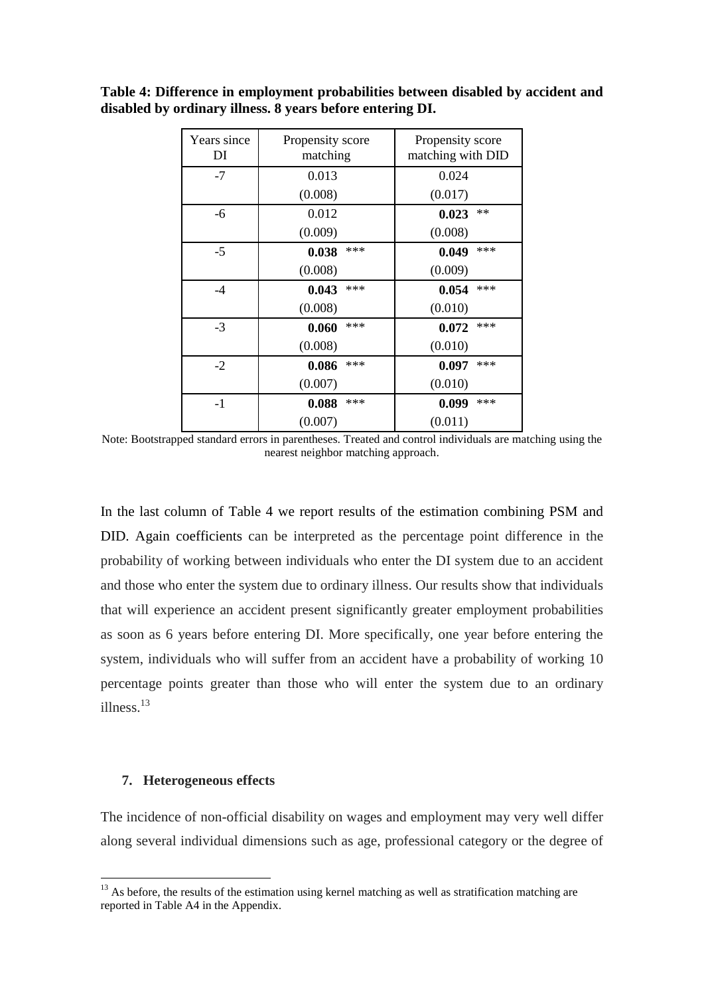| Table 4: Difference in employment probabilities between disabled by accident and |  |
|----------------------------------------------------------------------------------|--|
| disabled by ordinary illness. 8 years before entering DI.                        |  |

| Years since<br>DI | Propensity score<br>matching | Propensity score<br>matching with DID |
|-------------------|------------------------------|---------------------------------------|
| $-7$              | 0.013                        | 0.024                                 |
|                   | (0.008)                      | (0.017)                               |
| -6                | 0.012                        | **<br>0.023                           |
|                   | (0.009)                      | (0.008)                               |
| $-5$              | ***<br>0.038                 | ***<br>0.049                          |
|                   | (0.008)                      | (0.009)                               |
| $-4$              | ***<br>0.043                 | ***<br>0.054                          |
|                   | (0.008)                      | (0.010)                               |
| $-3$              | ***<br>0.060                 | ***<br>0.072                          |
|                   | (0.008)                      | (0.010)                               |
| $-2$              | ***<br>0.086                 | ***<br>0.097                          |
|                   | (0.007)                      | (0.010)                               |
| $-1$              | ***<br>0.088                 | 0.099<br>***                          |
|                   | (0.007)                      | (0.011)                               |

Note: Bootstrapped standard errors in parentheses. Treated and control individuals are matching using the nearest neighbor matching approach.

In the last column of Table 4 we report results of the estimation combining PSM and DID. Again coefficients can be interpreted as the percentage point difference in the probability of working between individuals who enter the DI system due to an accident and those who enter the system due to ordinary illness. Our results show that individuals that will experience an accident present significantly greater employment probabilities as soon as 6 years before entering DI. More specifically, one year before entering the system, individuals who will suffer from an accident have a probability of working 10 percentage points greater than those who will enter the system due to an ordinary illness. 13

#### **7. Heterogeneous effects**

<u>.</u>

The incidence of non-official disability on wages and employment may very well differ along several individual dimensions such as age, professional category or the degree of

<sup>&</sup>lt;sup>13</sup> As before, the results of the estimation using kernel matching as well as stratification matching are reported in Table A4 in the Appendix.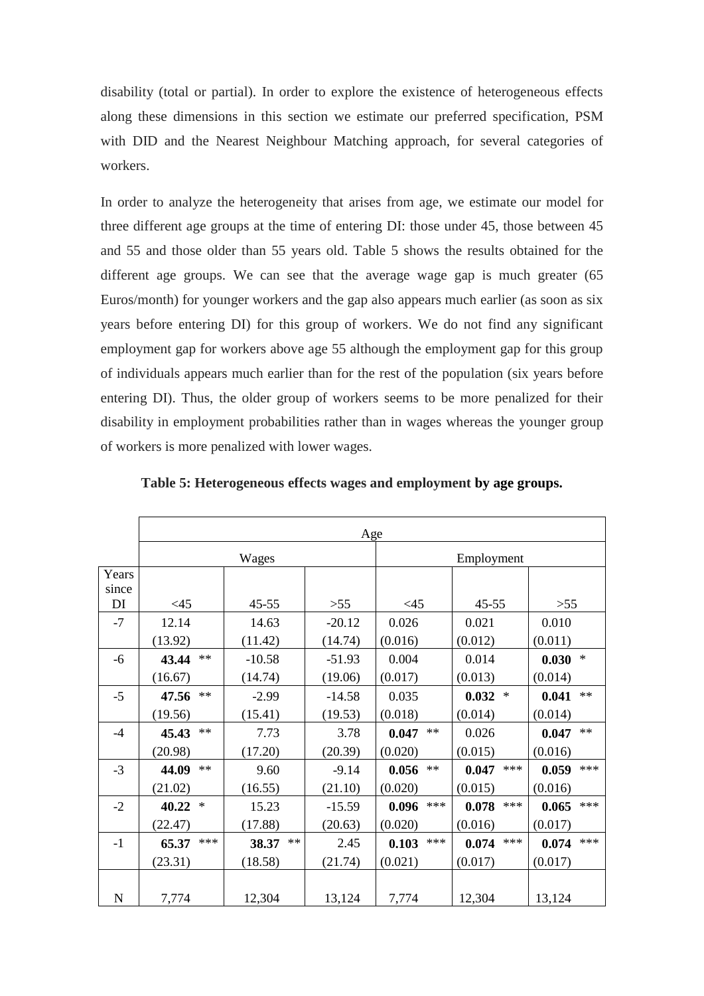disability (total or partial). In order to explore the existence of heterogeneous effects along these dimensions in this section we estimate our preferred specification, PSM with DID and the Nearest Neighbour Matching approach, for several categories of workers.

In order to analyze the heterogeneity that arises from age, we estimate our model for three different age groups at the time of entering DI: those under 45, those between 45 and 55 and those older than 55 years old. Table 5 shows the results obtained for the different age groups. We can see that the average wage gap is much greater (65 Euros/month) for younger workers and the gap also appears much earlier (as soon as six years before entering DI) for this group of workers. We do not find any significant employment gap for workers above age 55 although the employment gap for this group of individuals appears much earlier than for the rest of the population (six years before entering DI). Thus, the older group of workers seems to be more penalized for their disability in employment probabilities rather than in wages whereas the younger group of workers is more penalized with lower wages.

|                | Age                 |               |          |                |                |                     |
|----------------|---------------------|---------------|----------|----------------|----------------|---------------------|
|                |                     | Wages         |          | Employment     |                |                     |
| Years<br>since |                     |               |          |                |                |                     |
| DI             | $<$ 45              | $45 - 55$     | $>55$    | $<$ 45         | $45 - 55$      | >55                 |
| $-7$           | 12.14               | 14.63         | $-20.12$ | 0.026          | 0.021          | 0.010               |
|                | (13.92)             | (11.42)       | (14.74)  | (0.016)        | (0.012)        | (0.011)             |
| -6             | $\ast\ast$<br>43.44 | $-10.58$      | $-51.93$ | 0.004          | 0.014          | $\ast$<br>0.030     |
|                | (16.67)             | (14.74)       | (19.06)  | (0.017)        | (0.013)        | (0.014)             |
| $-5$           | $**$<br>47.56       | $-2.99$       | $-14.58$ | 0.035          | 0.032<br>∗     | $\ast\ast$<br>0.041 |
|                | (19.56)             | (15.41)       | (19.53)  | (0.018)        | (0.014)        | (0.014)             |
| $-4$           | $\ast\ast$<br>45.43 | 7.73          | 3.78     | 0.047<br>$**$  | 0.026          | $**$<br>0.047       |
|                | (20.98)             | (17.20)       | (20.39)  | (0.020)        | (0.015)        | (0.016)             |
| $-3$           | $**$<br>44.09       | 9.60          | $-9.14$  | $**$<br>0.056  | ***<br>0.047   | ***<br>0.059        |
|                | (21.02)             | (16.55)       | (21.10)  | (0.020)        | (0.015)        | (0.016)             |
| $-2$           | 40.22<br>$\ast$     | 15.23         | $-15.59$ | ***<br>0.096   | $***$<br>0.078 | ***<br>0.065        |
|                | (22.47)             | (17.88)       | (20.63)  | (0.020)        | (0.016)        | (0.017)             |
| $-1$           | ***<br>65.37        | $**$<br>38.37 | 2.45     | $***$<br>0.103 | $***$<br>0.074 | ***<br>0.074        |
|                | (23.31)             | (18.58)       | (21.74)  | (0.021)        | (0.017)        | (0.017)             |
|                |                     |               |          |                |                |                     |
| ${\bf N}$      | 7,774               | 12,304        | 13,124   | 7,774          | 12,304         | 13,124              |

**Table 5: Heterogeneous effects wages and employment by age groups.**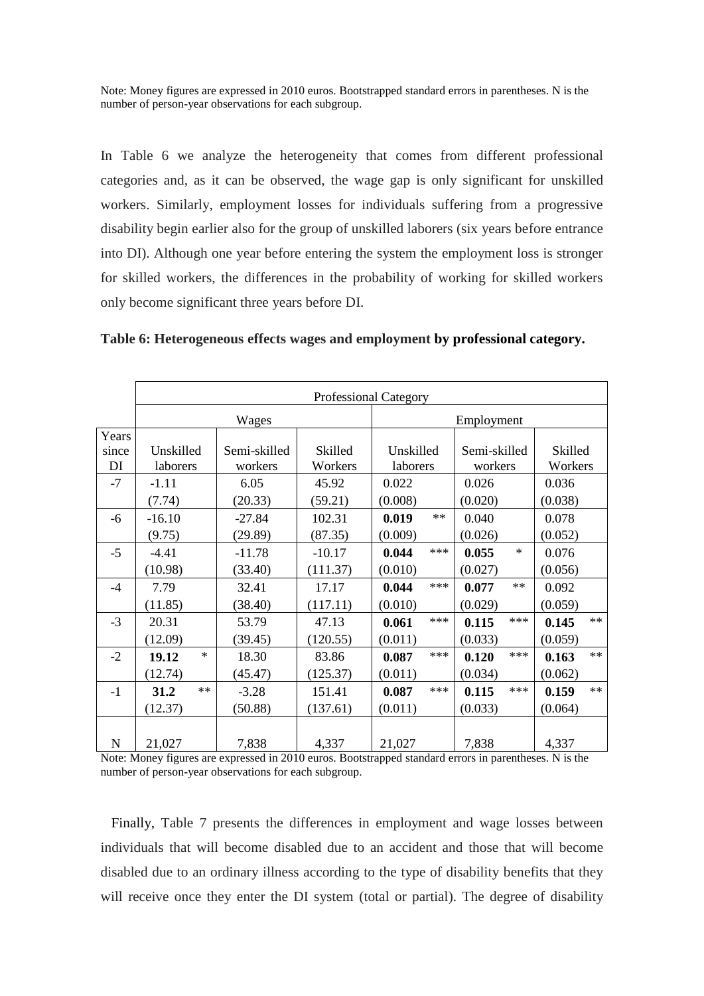Note: Money figures are expressed in 2010 euros. Bootstrapped standard errors in parentheses. N is the number of person-year observations for each subgroup.

In Table 6 we analyze the heterogeneity that comes from different professional categories and, as it can be observed, the wage gap is only significant for unskilled workers. Similarly, employment losses for individuals suffering from a progressive disability begin earlier also for the group of unskilled laborers (six years before entrance into DI). Although one year before entering the system the employment loss is stronger for skilled workers, the differences in the probability of working for skilled workers only become significant three years before DI.

|             | <b>Professional Category</b> |              |          |               |                 |                     |
|-------------|------------------------------|--------------|----------|---------------|-----------------|---------------------|
|             | Wages                        |              |          |               | Employment      |                     |
| Years       |                              |              |          |               |                 |                     |
| since       | Unskilled                    | Semi-skilled | Skilled  | Unskilled     | Semi-skilled    | Skilled             |
| DI          | laborers                     | workers      | Workers  | laborers      | workers         | Workers             |
| $-7$        | $-1.11$                      | 6.05         | 45.92    | 0.022         | 0.026           | 0.036               |
|             | (7.74)                       | (20.33)      | (59.21)  | (0.008)       | (0.020)         | (0.038)             |
| $-6$        | $-16.10$                     | $-27.84$     | 102.31   | $**$<br>0.019 | 0.040           | 0.078               |
|             | (9.75)                       | (29.89)      | (87.35)  | (0.009)       | (0.026)         | (0.052)             |
| $-5$        | $-4.41$                      | $-11.78$     | $-10.17$ | ***<br>0.044  | $\ast$<br>0.055 | 0.076               |
|             | (10.98)                      | (33.40)      | (111.37) | (0.010)       | (0.027)         | (0.056)             |
| $-4$        | 7.79                         | 32.41        | 17.17    | ***<br>0.044  | $**$<br>0.077   | 0.092               |
|             | (11.85)                      | (38.40)      | (117.11) | (0.010)       | (0.029)         | (0.059)             |
| $-3$        | 20.31                        | 53.79        | 47.13    | ***<br>0.061  | ***<br>0.115    | $**$<br>0.145       |
|             | (12.09)                      | (39.45)      | (120.55) | (0.011)       | (0.033)         | (0.059)             |
| $-2$        | $\ast$<br>19.12              | 18.30        | 83.86    | ***<br>0.087  | ***<br>0.120    | $**$<br>0.163       |
|             | (12.74)                      | (45.47)      | (125.37) | (0.011)       | (0.034)         | (0.062)             |
| $-1$        | $**$<br>31.2                 | $-3.28$      | 151.41   | ***<br>0.087  | ***<br>0.115    | $\ast\ast$<br>0.159 |
|             | (12.37)                      | (50.88)      | (137.61) | (0.011)       | (0.033)         | (0.064)             |
|             |                              |              |          |               |                 |                     |
| $\mathbf N$ | 21,027                       | 7,838        | 4,337    | 21,027        | 7,838           | 4,337               |

**Table 6: Heterogeneous effects wages and employment by professional category.**

Note: Money figures are expressed in 2010 euros. Bootstrapped standard errors in parentheses. N is the number of person-year observations for each subgroup.

 Finally, Table 7 presents the differences in employment and wage losses between individuals that will become disabled due to an accident and those that will become disabled due to an ordinary illness according to the type of disability benefits that they will receive once they enter the DI system (total or partial). The degree of disability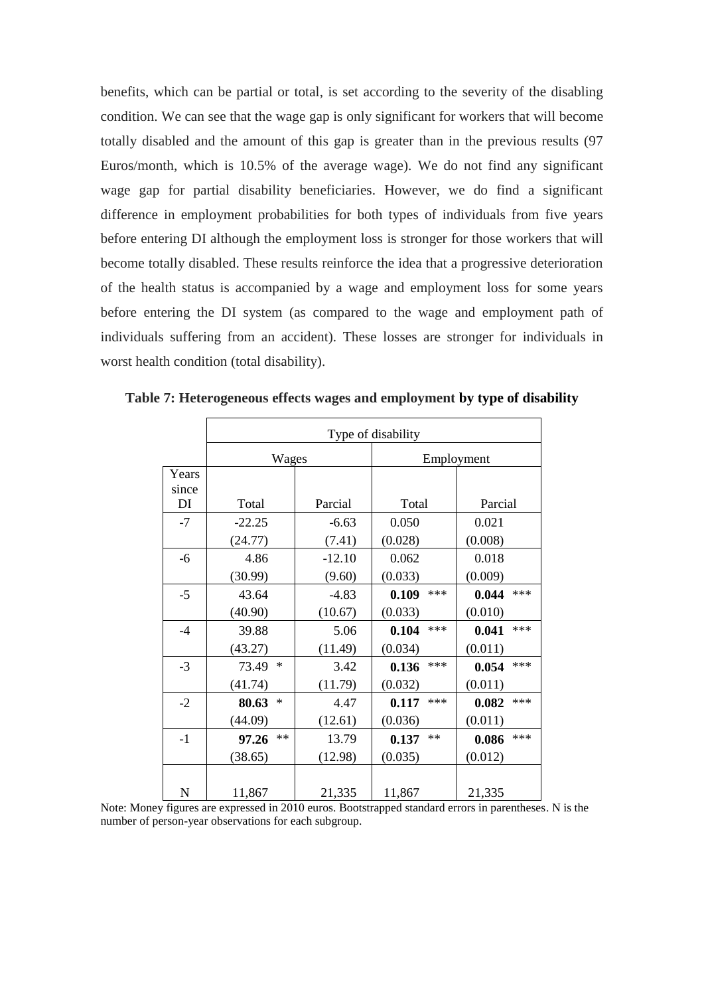benefits, which can be partial or total, is set according to the severity of the disabling condition. We can see that the wage gap is only significant for workers that will become totally disabled and the amount of this gap is greater than in the previous results (97 Euros/month, which is 10.5% of the average wage). We do not find any significant wage gap for partial disability beneficiaries. However, we do find a significant difference in employment probabilities for both types of individuals from five years before entering DI although the employment loss is stronger for those workers that will become totally disabled. These results reinforce the idea that a progressive deterioration of the health status is accompanied by a wage and employment loss for some years before entering the DI system (as compared to the wage and employment path of individuals suffering from an accident). These losses are stronger for individuals in worst health condition (total disability).

|       | Type of disability |          |                |              |  |  |
|-------|--------------------|----------|----------------|--------------|--|--|
|       | Wages              |          |                | Employment   |  |  |
| Years |                    |          |                |              |  |  |
| since |                    |          |                |              |  |  |
| DI    | Total              | Parcial  | Total          | Parcial      |  |  |
| $-7$  | $-22.25$           | $-6.63$  | 0.050          | 0.021        |  |  |
|       | (24.77)            | (7.41)   | (0.028)        | (0.008)      |  |  |
| -6    | 4.86               | $-12.10$ | 0.062          | 0.018        |  |  |
|       | (30.99)            | (9.60)   | (0.033)        | (0.009)      |  |  |
| $-5$  | 43.64              | $-4.83$  | $***$<br>0.109 | ***<br>0.044 |  |  |
|       | (40.90)            | (10.67)  | (0.033)        | (0.010)      |  |  |
| $-4$  | 39.88              | 5.06     | ***<br>0.104   | ***<br>0.041 |  |  |
|       | (43.27)            | (11.49)  | (0.034)        | (0.011)      |  |  |
| $-3$  | $\ast$<br>73.49    | 3.42     | ***<br>0.136   | ***<br>0.054 |  |  |
|       | (41.74)            | (11.79)  | (0.032)        | (0.011)      |  |  |
| $-2$  | *<br>80.63         | 4.47     | ***<br>0.117   | ***<br>0.082 |  |  |
|       | (44.09)            | (12.61)  | (0.036)        | (0.011)      |  |  |
| $-1$  | $**$<br>97.26      | 13.79    | $**$<br>0.137  | ***<br>0.086 |  |  |
|       | (38.65)            | (12.98)  | (0.035)        | (0.012)      |  |  |
|       |                    |          |                |              |  |  |
| N     | 11,867             | 21,335   | 11,867         | 21,335       |  |  |

**Table 7: Heterogeneous effects wages and employment by type of disability**

Note: Money figures are expressed in 2010 euros. Bootstrapped standard errors in parentheses. N is the number of person-year observations for each subgroup.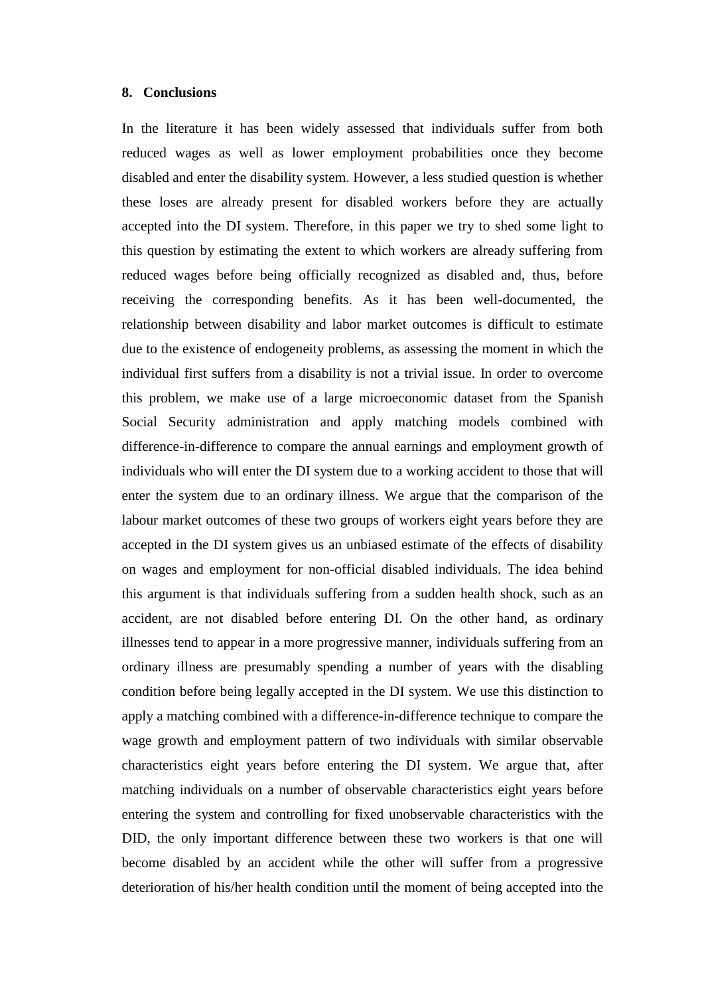#### **8. Conclusions**

In the literature it has been widely assessed that individuals suffer from both reduced wages as well as lower employment probabilities once they become disabled and enter the disability system. However, a less studied question is whether these loses are already present for disabled workers before they are actually accepted into the DI system. Therefore, in this paper we try to shed some light to this question by estimating the extent to which workers are already suffering from reduced wages before being officially recognized as disabled and, thus, before receiving the corresponding benefits. As it has been well-documented, the relationship between disability and labor market outcomes is difficult to estimate due to the existence of endogeneity problems, as assessing the moment in which the individual first suffers from a disability is not a trivial issue. In order to overcome this problem, we make use of a large microeconomic dataset from the Spanish Social Security administration and apply matching models combined with difference-in-difference to compare the annual earnings and employment growth of individuals who will enter the DI system due to a working accident to those that will enter the system due to an ordinary illness. We argue that the comparison of the labour market outcomes of these two groups of workers eight years before they are accepted in the DI system gives us an unbiased estimate of the effects of disability on wages and employment for non-official disabled individuals. The idea behind this argument is that individuals suffering from a sudden health shock, such as an accident, are not disabled before entering DI. On the other hand, as ordinary illnesses tend to appear in a more progressive manner, individuals suffering from an ordinary illness are presumably spending a number of years with the disabling condition before being legally accepted in the DI system. We use this distinction to apply a matching combined with a difference-in-difference technique to compare the wage growth and employment pattern of two individuals with similar observable characteristics eight years before entering the DI system. We argue that, after matching individuals on a number of observable characteristics eight years before entering the system and controlling for fixed unobservable characteristics with the DID, the only important difference between these two workers is that one will become disabled by an accident while the other will suffer from a progressive deterioration of his/her health condition until the moment of being accepted into the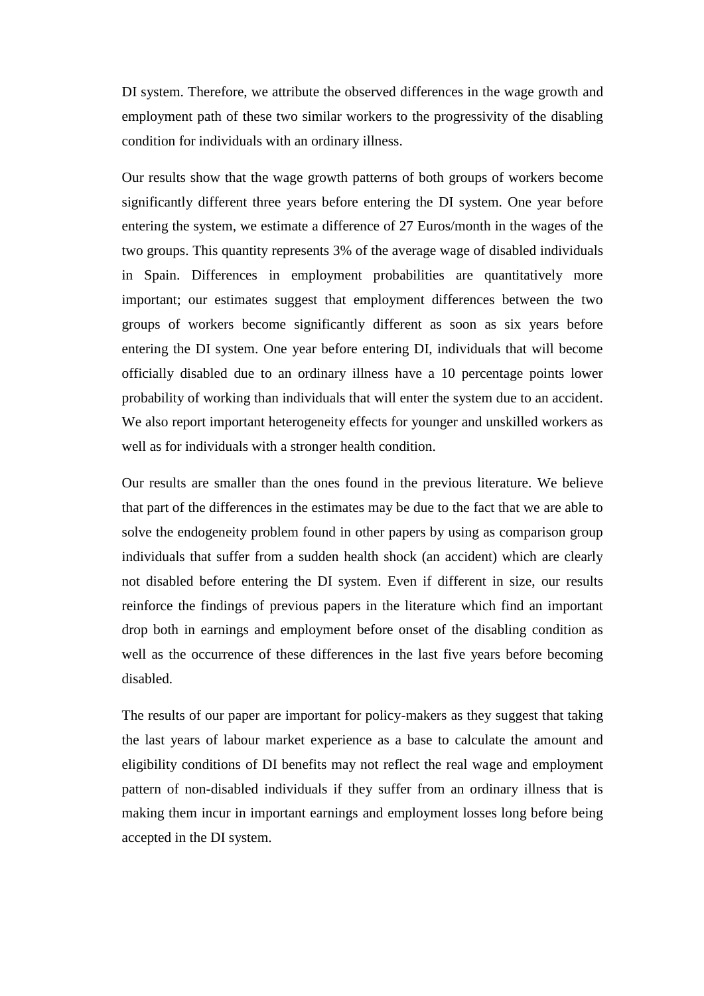DI system. Therefore, we attribute the observed differences in the wage growth and employment path of these two similar workers to the progressivity of the disabling condition for individuals with an ordinary illness.

Our results show that the wage growth patterns of both groups of workers become significantly different three years before entering the DI system. One year before entering the system, we estimate a difference of 27 Euros/month in the wages of the two groups. This quantity represents 3% of the average wage of disabled individuals in Spain. Differences in employment probabilities are quantitatively more important; our estimates suggest that employment differences between the two groups of workers become significantly different as soon as six years before entering the DI system. One year before entering DI, individuals that will become officially disabled due to an ordinary illness have a 10 percentage points lower probability of working than individuals that will enter the system due to an accident. We also report important heterogeneity effects for younger and unskilled workers as well as for individuals with a stronger health condition.

Our results are smaller than the ones found in the previous literature. We believe that part of the differences in the estimates may be due to the fact that we are able to solve the endogeneity problem found in other papers by using as comparison group individuals that suffer from a sudden health shock (an accident) which are clearly not disabled before entering the DI system. Even if different in size, our results reinforce the findings of previous papers in the literature which find an important drop both in earnings and employment before onset of the disabling condition as well as the occurrence of these differences in the last five years before becoming disabled.

The results of our paper are important for policy-makers as they suggest that taking the last years of labour market experience as a base to calculate the amount and eligibility conditions of DI benefits may not reflect the real wage and employment pattern of non-disabled individuals if they suffer from an ordinary illness that is making them incur in important earnings and employment losses long before being accepted in the DI system.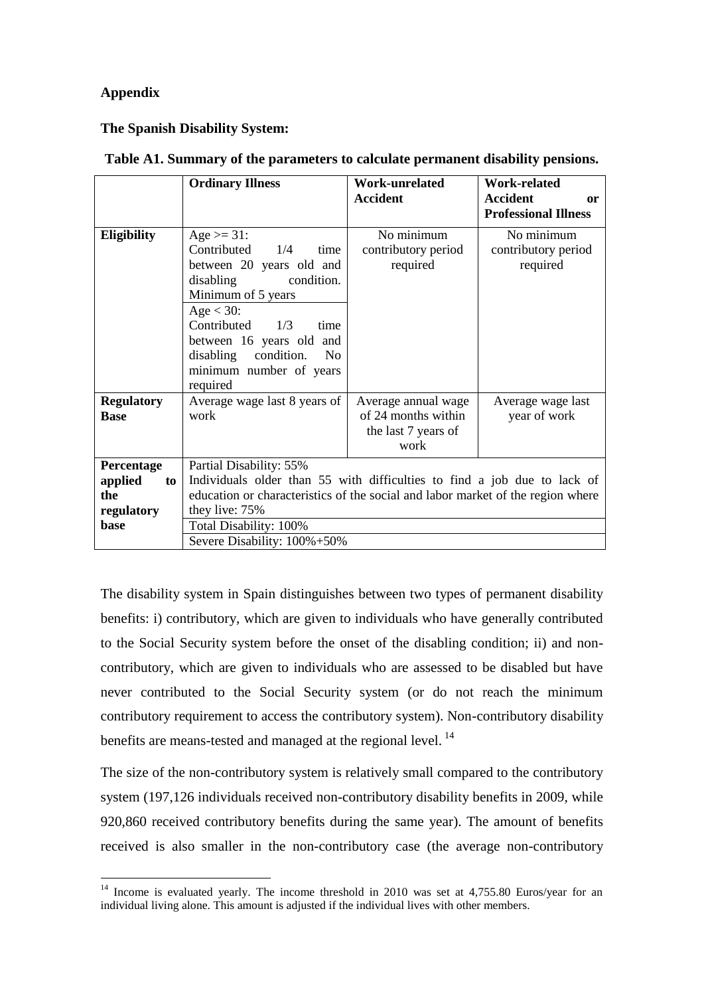#### **Appendix**

<u>.</u>

#### **The Spanish Disability System:**

|                                                          | <b>Ordinary Illness</b>                                                                                                                                                                                                                                                            | Work-unrelated<br><b>Accident</b>                                         | Work-related<br><b>Accident</b><br><sub>or</sub><br><b>Professional Illness</b> |  |
|----------------------------------------------------------|------------------------------------------------------------------------------------------------------------------------------------------------------------------------------------------------------------------------------------------------------------------------------------|---------------------------------------------------------------------------|---------------------------------------------------------------------------------|--|
| Eligibility                                              | Age $>= 31$ :<br>Contributed<br>1/4<br>time<br>between 20 years old and<br>disabling<br>condition.<br>Minimum of 5 years<br>Age $<$ 30:<br>Contributed<br>1/3<br>time<br>between 16 years old and<br>disabling condition.<br>N <sub>o</sub><br>minimum number of years<br>required | No minimum<br>contributory period<br>required                             | No minimum<br>contributory period<br>required                                   |  |
| <b>Regulatory</b><br><b>Base</b>                         | Average wage last 8 years of<br>work                                                                                                                                                                                                                                               | Average annual wage<br>of 24 months within<br>the last 7 years of<br>work | Average wage last<br>year of work                                               |  |
| Percentage<br>applied<br>to<br>the<br>regulatory<br>base | Partial Disability: 55%<br>Individuals older than 55 with difficulties to find a job due to lack of<br>education or characteristics of the social and labor market of the region where<br>they live: 75%<br>Total Disability: 100%<br>Severe Disability: 100%+50%                  |                                                                           |                                                                                 |  |

#### **Table A1. Summary of the parameters to calculate permanent disability pensions.**

The disability system in Spain distinguishes between two types of permanent disability benefits: i) contributory, which are given to individuals who have generally contributed to the Social Security system before the onset of the disabling condition; ii) and noncontributory, which are given to individuals who are assessed to be disabled but have never contributed to the Social Security system (or do not reach the minimum contributory requirement to access the contributory system). Non-contributory disability benefits are means-tested and managed at the regional level.<sup>14</sup>

The size of the non-contributory system is relatively small compared to the contributory system (197,126 individuals received non-contributory disability benefits in 2009, while 920,860 received contributory benefits during the same year). The amount of benefits received is also smaller in the non-contributory case (the average non-contributory

 $14$  Income is evaluated yearly. The income threshold in 2010 was set at 4,755.80 Euros/year for an individual living alone. This amount is adjusted if the individual lives with other members.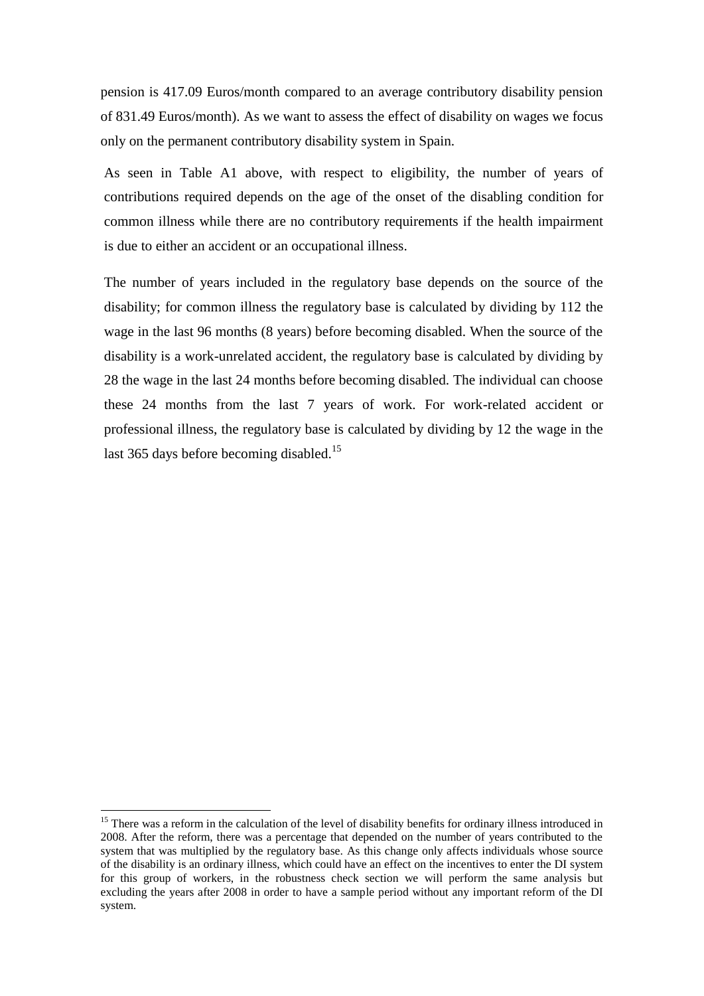pension is 417.09 Euros/month compared to an average contributory disability pension of 831.49 Euros/month). As we want to assess the effect of disability on wages we focus only on the permanent contributory disability system in Spain.

As seen in Table A1 above, with respect to eligibility, the number of years of contributions required depends on the age of the onset of the disabling condition for common illness while there are no contributory requirements if the health impairment is due to either an accident or an occupational illness.

The number of years included in the regulatory base depends on the source of the disability; for common illness the regulatory base is calculated by dividing by 112 the wage in the last 96 months (8 years) before becoming disabled. When the source of the disability is a work-unrelated accident, the regulatory base is calculated by dividing by 28 the wage in the last 24 months before becoming disabled. The individual can choose these 24 months from the last 7 years of work. For work-related accident or professional illness, the regulatory base is calculated by dividing by 12 the wage in the last 365 days before becoming disabled.<sup>15</sup>

1

<sup>&</sup>lt;sup>15</sup> There was a reform in the calculation of the level of disability benefits for ordinary illness introduced in 2008. After the reform, there was a percentage that depended on the number of years contributed to the system that was multiplied by the regulatory base. As this change only affects individuals whose source of the disability is an ordinary illness, which could have an effect on the incentives to enter the DI system for this group of workers, in the robustness check section we will perform the same analysis but excluding the years after 2008 in order to have a sample period without any important reform of the DI system.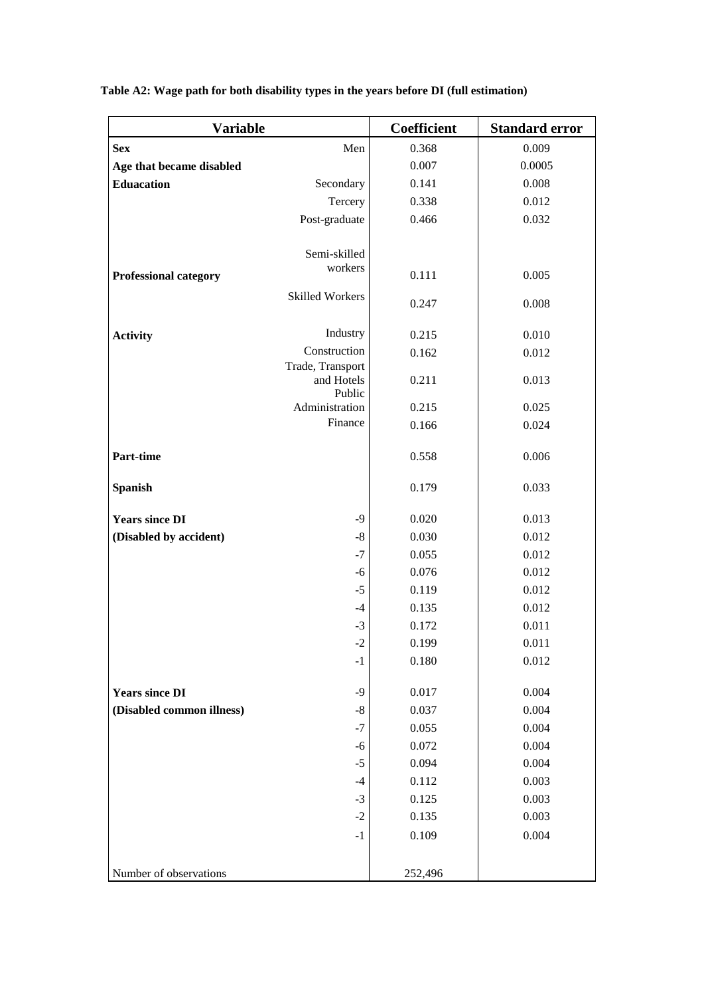| <b>Variable</b>              |                           | Coefficient    | <b>Standard error</b> |
|------------------------------|---------------------------|----------------|-----------------------|
| <b>Sex</b>                   | Men                       | 0.368          | 0.009                 |
| Age that became disabled     |                           | 0.007          | 0.0005                |
| <b>Eduacation</b>            | Secondary                 | 0.141          | 0.008                 |
|                              | Tercery                   | 0.338          | 0.012                 |
|                              | Post-graduate             | 0.466          | 0.032                 |
|                              |                           |                |                       |
|                              | Semi-skilled              |                |                       |
| <b>Professional category</b> | workers                   | 0.111          | 0.005                 |
|                              | <b>Skilled Workers</b>    |                |                       |
|                              |                           | 0.247          | 0.008                 |
| <b>Activity</b>              | Industry                  | 0.215          | 0.010                 |
|                              | Construction              | 0.162          | 0.012                 |
|                              | Trade, Transport          |                |                       |
|                              | and Hotels                | 0.211          | 0.013                 |
|                              | Public                    |                |                       |
|                              | Administration<br>Finance | 0.215          | 0.025                 |
|                              |                           | 0.166          | 0.024                 |
| Part-time                    |                           | 0.558          | 0.006                 |
|                              |                           |                |                       |
| <b>Spanish</b>               |                           | 0.179          | 0.033                 |
| <b>Years since DI</b>        | $-9$                      | 0.020          | 0.013                 |
|                              | $\mbox{-}8$               | 0.030          | 0.012                 |
| (Disabled by accident)       | $-7$                      |                |                       |
|                              | $-6$                      | 0.055<br>0.076 | 0.012<br>0.012        |
|                              | $-5$                      | 0.119          | 0.012                 |
|                              | $-4$                      | 0.135          | 0.012                 |
|                              | $-3$                      | 0.172          | 0.011                 |
|                              | $-2$                      | 0.199          | 0.011                 |
|                              | $-1$                      | 0.180          | 0.012                 |
|                              |                           |                |                       |
| <b>Years since DI</b>        | $-9$                      | 0.017          | 0.004                 |
| (Disabled common illness)    | $\mbox{-}8$               | 0.037          | 0.004                 |
|                              | $-7$                      | 0.055          | 0.004                 |
|                              | $-6$                      | 0.072          | 0.004                 |
|                              | $-5$                      | 0.094          | 0.004                 |
|                              | $-4$                      | 0.112          | 0.003                 |
|                              | $-3$                      | 0.125          | 0.003                 |
|                              | $-2$                      | 0.135          | 0.003                 |
|                              | $-1$                      | 0.109          | 0.004                 |
|                              |                           |                |                       |
| Number of observations       |                           | 252,496        |                       |

**Table A2: Wage path for both disability types in the years before DI (full estimation)**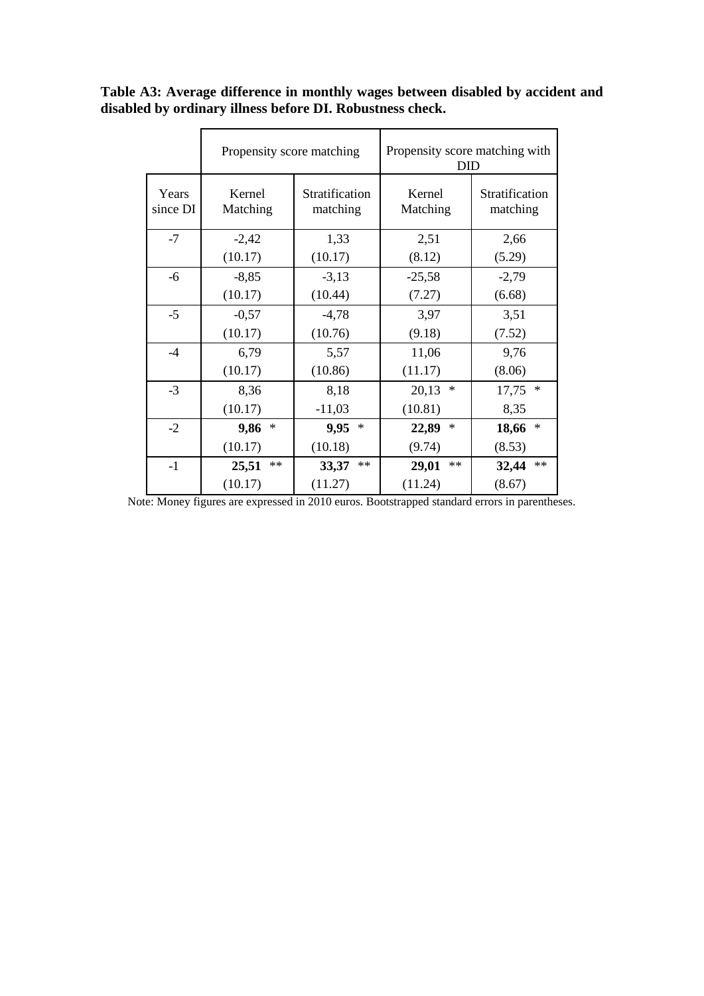|                   | Propensity score matching |                            | Propensity score matching with<br>DID |                            |
|-------------------|---------------------------|----------------------------|---------------------------------------|----------------------------|
| Years<br>since DI | Kernel<br>Matching        | Stratification<br>matching | Kernel<br>Matching                    | Stratification<br>matching |
| $-7$              | $-2,42$                   | 1,33                       | 2,51                                  | 2,66                       |
|                   | (10.17)                   | (10.17)                    | (8.12)                                | (5.29)                     |
| $-6$              | $-8,85$                   | $-3,13$                    | $-25,58$                              | $-2,79$                    |
|                   | (10.17)                   | (10.44)                    | (7.27)                                | (6.68)                     |
| $-5$              | $-0,57$                   | $-4,78$                    | 3,97                                  | 3,51                       |
|                   | (10.17)                   | (10.76)                    | (9.18)                                | (7.52)                     |
| $-4$              | 6,79                      | 5,57                       | 11,06                                 | 9,76                       |
|                   | (10.17)                   | (10.86)                    | (11.17)                               | (8.06)                     |
| $-3$              | 8,36                      | 8,18                       | $\ast$<br>20,13                       | 17,75<br>$\ast$            |
|                   | (10.17)                   | $-11,03$                   | (10.81)                               | 8,35                       |
| $-2$              | 9,86<br>∗                 | 9,95<br>$\ast$             | $\ast$<br>22,89                       | $\ast$<br>18,66            |
|                   | (10.17)                   | (10.18)                    | (9.74)                                | (8.53)                     |
| $-1$              | **<br>25,51               | $**$<br>33,37              | $**$<br>29,01                         | $**$<br>32,44              |
|                   | (10.17)                   | (11.27)                    | (11.24)                               | (8.67)                     |

**Table A3: Average difference in monthly wages between disabled by accident and disabled by ordinary illness before DI. Robustness check.**

Note: Money figures are expressed in 2010 euros. Bootstrapped standard errors in parentheses.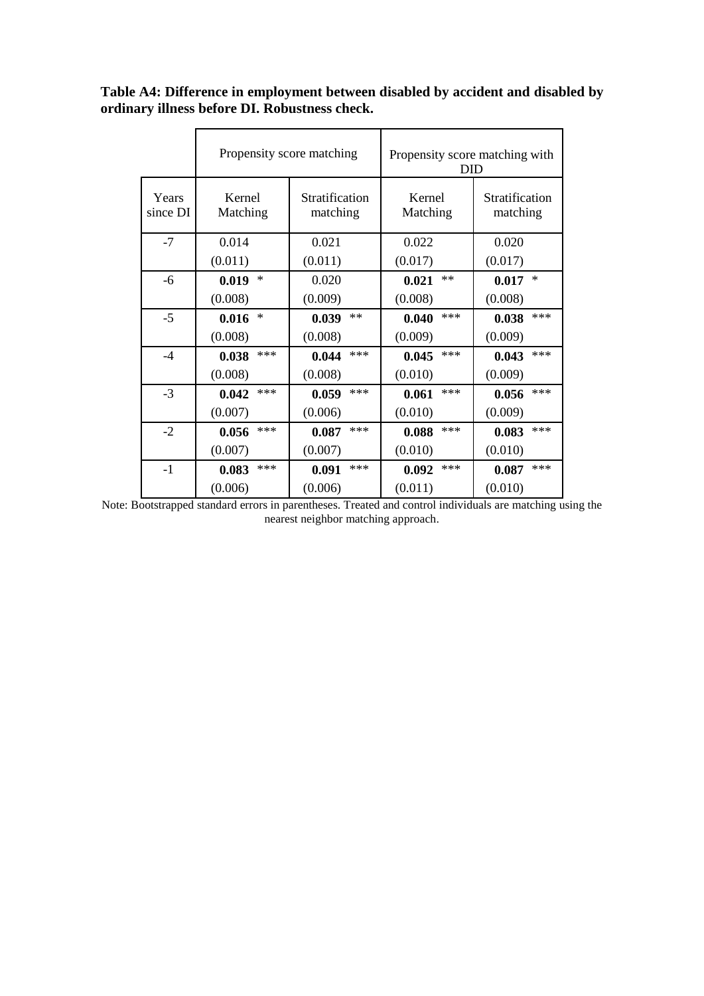|                   | Propensity score matching |                            | Propensity score matching with<br><b>DID</b> |                            |
|-------------------|---------------------------|----------------------------|----------------------------------------------|----------------------------|
| Years<br>since DI | Kernel<br>Matching        | Stratification<br>matching | Kernel<br>Matching                           | Stratification<br>matching |
| $-7$              | 0.014                     | 0.021                      | 0.022                                        | 0.020                      |
|                   | (0.011)                   | (0.011)                    | (0.017)                                      | (0.017)                    |
| -6                | $\ast$<br>0.019           | 0.020                      | $**$<br>0.021                                | $\ast$<br>0.017            |
|                   | (0.008)                   | (0.009)                    | (0.008)                                      | (0.008)                    |
| $-5$              | ∗<br>0.016                | $**$<br>0.039              | ***<br>0.040                                 | $***$<br>0.038             |
|                   | (0.008)                   | (0.008)                    | (0.009)                                      | (0.009)                    |
| $-4$              | ***<br>0.038              | ***<br>0.044               | ***<br>0.045                                 | $***$<br>0.043             |
|                   | (0.008)                   | (0.008)                    | (0.010)                                      | (0.009)                    |
| $-3$              | ***<br>0.042              | ***<br>0.059               | ***<br>0.061                                 | $***$<br>0.056             |
|                   | (0.007)                   | (0.006)                    | (0.010)                                      | (0.009)                    |
| $-2$              | ***<br>0.056              | ***<br>0.087               | ***<br>0.088                                 | $***$<br>0.083             |
|                   | (0.007)                   | (0.007)                    | (0.010)                                      | (0.010)                    |
| $-1$              | ***<br>0.083              | ***<br>0.091               | ***<br>0.092                                 | $***$<br>0.087             |
|                   | (0.006)                   | (0.006)                    | (0.011)                                      | (0.010)                    |

**Table A4: Difference in employment between disabled by accident and disabled by ordinary illness before DI. Robustness check.**

Note: Bootstrapped standard errors in parentheses. Treated and control individuals are matching using the nearest neighbor matching approach.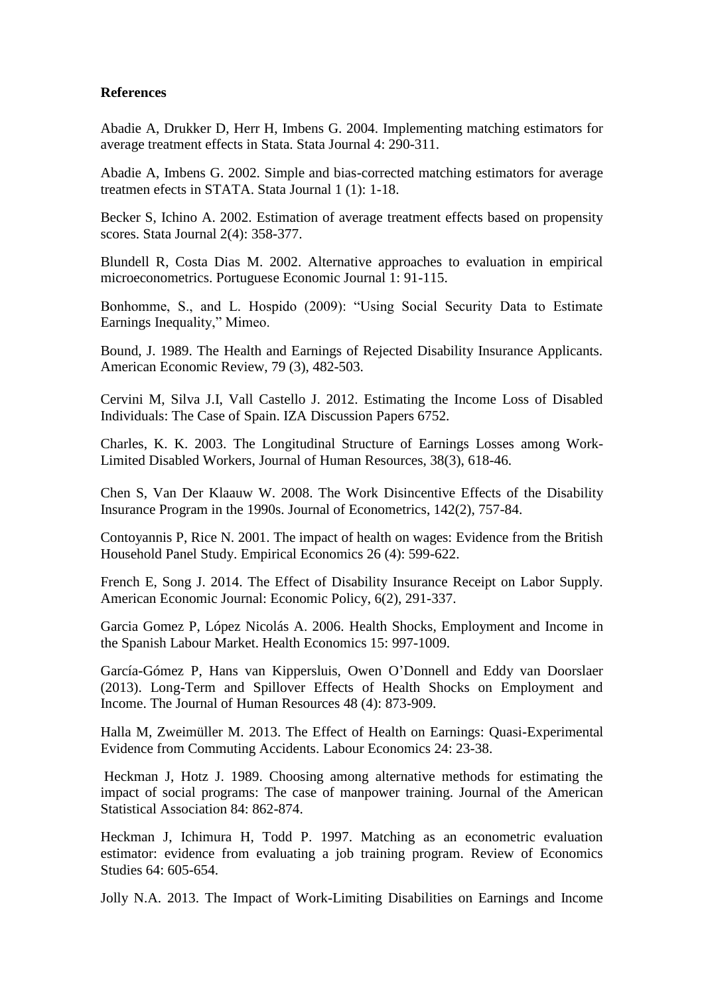#### **References**

Abadie A, Drukker D, Herr H, Imbens G. 2004. Implementing matching estimators for average treatment effects in Stata. Stata Journal 4: 290-311.

Abadie A, Imbens G. 2002. Simple and bias-corrected matching estimators for average treatmen efects in STATA. Stata Journal 1 (1): 1-18.

Becker S, Ichino A. 2002. Estimation of average treatment effects based on propensity scores. Stata Journal 2(4): 358-377.

Blundell R, Costa Dias M. 2002. Alternative approaches to evaluation in empirical microeconometrics. Portuguese Economic Journal 1: 91-115.

Bonhomme, S., and L. Hospido (2009): "Using Social Security Data to Estimate Earnings Inequality," Mimeo.

Bound, J. 1989. The Health and Earnings of Rejected Disability Insurance Applicants. American Economic Review, 79 (3), 482-503.

Cervini M, Silva J.I, Vall Castello J. 2012. Estimating the Income Loss of Disabled Individuals: The Case of Spain. IZA Discussion Papers 6752.

Charles, K. K. 2003. The Longitudinal Structure of Earnings Losses among Work-Limited Disabled Workers, Journal of Human Resources, 38(3), 618-46.

Chen S, Van Der Klaauw W. 2008. The Work Disincentive Effects of the Disability Insurance Program in the 1990s. Journal of Econometrics, 142(2), 757-84.

Contoyannis P, Rice N. 2001. The impact of health on wages: Evidence from the British Household Panel Study. Empirical Economics 26 (4): 599-622.

French E, Song J. 2014. The Effect of Disability Insurance Receipt on Labor Supply. American Economic Journal: Economic Policy, 6(2), 291-337.

Garcia Gomez P, López Nicolás A. 2006. Health Shocks, Employment and Income in the Spanish Labour Market. Health Economics 15: 997-1009.

García-Gómez P, Hans van Kippersluis, Owen O'Donnell and Eddy van Doorslaer (2013). Long-Term and Spillover Effects of Health Shocks on Employment and Income. The Journal of Human Resources 48 (4): 873-909.

Halla M, Zweimüller M. 2013. The Effect of Health on Earnings: Quasi-Experimental Evidence from Commuting Accidents. Labour Economics 24: 23-38.

Heckman J, Hotz J. 1989. Choosing among alternative methods for estimating the impact of social programs: The case of manpower training. Journal of the American Statistical Association 84: 862-874.

Heckman J, Ichimura H, Todd P. 1997. Matching as an econometric evaluation estimator: evidence from evaluating a job training program. Review of Economics Studies 64: 605-654.

Jolly N.A. 2013. The Impact of Work-Limiting Disabilities on Earnings and Income